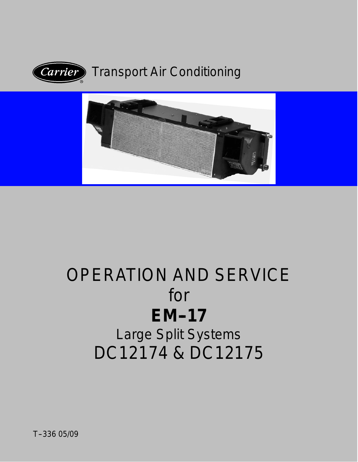

# Transport Air Conditioning



# OPERATION AND SERVICE for **EM--17** Large Split Systems

DC12174 & DC12175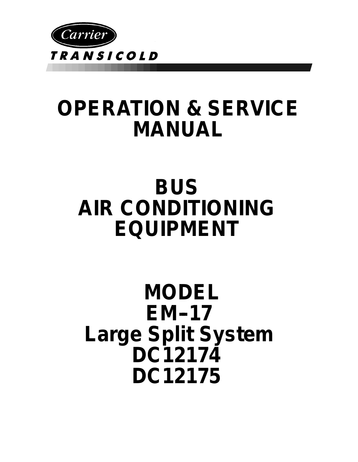

# **OPERATION & SERVICE MANUAL**

# **BUS AIR CONDITIONING EQUIPMENT**

# **MODEL EM--17 Large Split System DC12174 DC12175**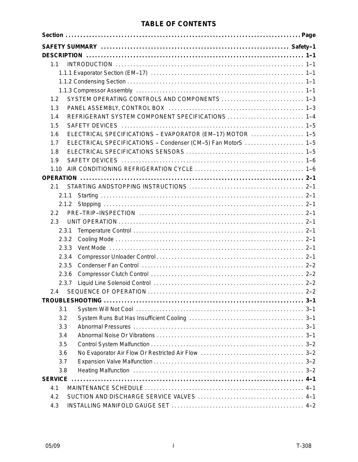### **TABLE OF CONTENTS**

| 1.1            |                                                              |
|----------------|--------------------------------------------------------------|
|                |                                                              |
|                |                                                              |
|                |                                                              |
| 1.2            | SYSTEM OPERATING CONTROLS AND COMPONENTS  1-3                |
| 1.3            |                                                              |
| 1.4            | REFRIGERANT SYSTEM COMPONENT SPECIFICATIONS  1-4             |
| 1.5            |                                                              |
| 1.6            | ELECTRICAL SPECIFICATIONS - EVAPORATOR (EM-17) MOTOR  1-5    |
| 1.7            | ELECTRICAL SPECIFICATIONS - Condenser (CM-5) Fan MotorS  1-5 |
| 1.8            |                                                              |
| 1.9            |                                                              |
| 1.10           |                                                              |
|                |                                                              |
| 2.1            |                                                              |
| 2.1.1          |                                                              |
| 2.1.2          |                                                              |
| $2.2^{\circ}$  |                                                              |
| 2.3            |                                                              |
| 2.3.1          |                                                              |
| 2.3.2          |                                                              |
| 2.3.3          |                                                              |
| 2.3.4          |                                                              |
| 2.3.5          |                                                              |
| 2.3.6          |                                                              |
| 2.3.7          |                                                              |
| 2.4            |                                                              |
|                |                                                              |
| 3.1            |                                                              |
| 3.2            |                                                              |
| 3.3            |                                                              |
| 3.4            |                                                              |
| 3.5            |                                                              |
| 3.6            |                                                              |
| 3.7            |                                                              |
| 3.8            |                                                              |
| <b>SERVICE</b> |                                                              |
| 4.1            |                                                              |
| 4.2            |                                                              |
| 4.3            |                                                              |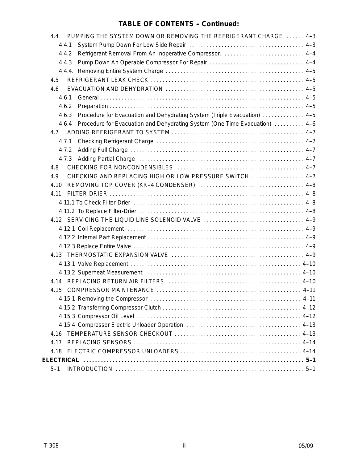### **TABLE OF CONTENTS - Continued:**

| PUMPING THE SYSTEM DOWN OR REMOVING THE REFRIGERANT CHARGE  4-3<br>4.4              |  |
|-------------------------------------------------------------------------------------|--|
| 4.4.1                                                                               |  |
| Refrigerant Removal From An Inoperative Compressor.  4-4<br>4.4.2                   |  |
| 4.4.3                                                                               |  |
|                                                                                     |  |
| 4.5                                                                                 |  |
| 4.6                                                                                 |  |
| 461                                                                                 |  |
| 4.6.2                                                                               |  |
| Procedure for Evacuation and Dehydrating System (Triple Evacuation)  4-5<br>4.6.3   |  |
| Procedure for Evacuation and Dehydrating System (One Time Evacuation)  4-6<br>4.6.4 |  |
| 4.7                                                                                 |  |
| 4.7.1                                                                               |  |
| 4.7.2                                                                               |  |
|                                                                                     |  |
| 4.8                                                                                 |  |
| CHECKING AND REPLACING HIGH OR LOW PRESSURE SWITCH  4-7<br>4.9                      |  |
| 4.10                                                                                |  |
| 4.11                                                                                |  |
|                                                                                     |  |
|                                                                                     |  |
| 4.12 SERVICING THE LIQUID LINE SOLENOID VALVE  4-9                                  |  |
|                                                                                     |  |
|                                                                                     |  |
|                                                                                     |  |
|                                                                                     |  |
|                                                                                     |  |
|                                                                                     |  |
|                                                                                     |  |
| 4.15                                                                                |  |
|                                                                                     |  |
|                                                                                     |  |
|                                                                                     |  |
|                                                                                     |  |
| 4.16                                                                                |  |
| 4.17                                                                                |  |
| 4.18                                                                                |  |
|                                                                                     |  |
| $5 - 1$                                                                             |  |
|                                                                                     |  |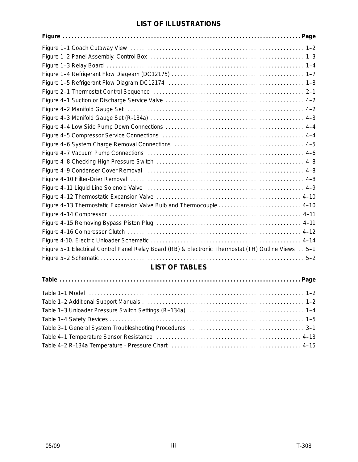#### **LIST OF ILLUSTRATIONS**

| Figure 4-13 Thermostatic Expansion Valve Bulb and Thermocouple  4-10                                 |
|------------------------------------------------------------------------------------------------------|
|                                                                                                      |
|                                                                                                      |
|                                                                                                      |
|                                                                                                      |
| Figure 5-1 Electrical Control Panel Relay Board (RB) & Electronic Thermostat (TH) Outline Views. 5-1 |
|                                                                                                      |

### **LIST OF TABLES**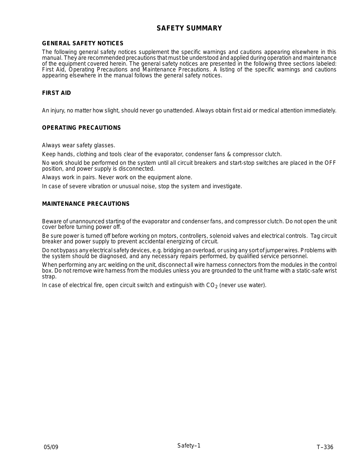#### **SAFETY SUMMARY**

#### **GENERAL SAFETY NOTICES**

The following general safety notices supplement the specific warnings and cautions appearing elsewhere in this manual. They are recommended precautions that must be understood and applied during operation and maintenance of the equipment covered herein. The general safety notices are presented in the following three sections labeled: First Aid, Operating Precautions and Maintenance Precautions. A listing of the specific warnings and cautions appearing elsewhere in the manual follows the general safety notices.

#### **FIRST AID**

An injury, no matter how slight, should never go unattended. Always obtain first aid or medical attention immediately.

#### **OPERATING PRECAUTIONS**

Always wear safety glasses.

Keep hands, clothing and tools clear of the evaporator, condenser fans & compressor clutch.

No work should be performed on the system until all circuit breakers and start-stop switches are placed in the OFF position, and power supply is disconnected.

Always work in pairs. Never work on the equipment alone.

In case of severe vibration or unusual noise, stop the system and investigate.

#### **MAINTENANCE PRECAUTIONS**

Beware of unannounced starting of the evaporator and condenser fans, and compressor clutch. Do not open the unit cover before turning power off.

Be sure power is turned off before working on motors, controllers, solenoid valves and electrical controls. Tag circuit breaker and power supply to prevent accidental energizing of circuit.

Do not bypass any electrical safety devices, e.g. bridging an overload, or using any sort of jumper wires. Problems with the system should be diagnosed, and any necessary repairs performed, by qualified service personnel.

When performing any arc welding on the unit, disconnect all wire harness connectors from the modules in the control box. Do not remove wire harness from the modules unless you are grounded to the unit frame with a static-safe wrist strap.

In case of electrical fire, open circuit switch and extinguish with  $CO<sub>2</sub>$  (never use water).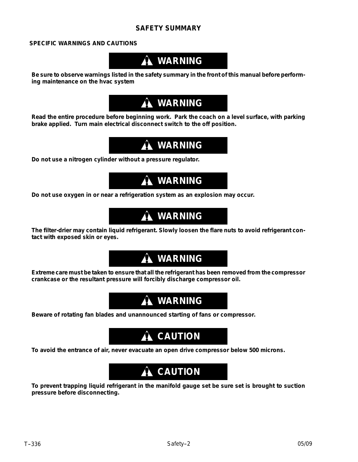#### **SAFETY SUMMARY**

#### **SPECIFIC WARNINGS AND CAUTIONS**

# **WARNING**

**Be sure to observe warnings listed in the safety summary in the front of this manual before performing maintenance on the hvac system**

# **WARNING**

**Read the entire procedure before beginning work. Park the coach on a level surface, with parking brake applied. Turn main electrical disconnect switch to the off position.**

# **WARNING**

**Do not use a nitrogen cylinder without a pressure regulator.**

# **WARNING**

**Do not use oxygen in or near a refrigeration system as an explosion may occur.**

### **WARNING**

**The filter-drier may contain liquid refrigerant. Slowly loosen the flare nuts to avoid refrigerant contact with exposed skin or eyes.**

# **WARNING**

**Extreme care must be taken to ensure that all the refrigerant has been removed from the compressor crankcase or the resultant pressure will forcibly discharge compressor oil.**

# **WARNING**

**Beware of rotating fan blades and unannounced starting of fans or compressor.**

## **A** CAUTION

**To avoid the entrance of air, never evacuate an open drive compressor below 500 microns.**

# **A** CAUTION

**To prevent trapping liquid refrigerant in the manifold gauge set be sure set is brought to suction pressure before disconnecting.**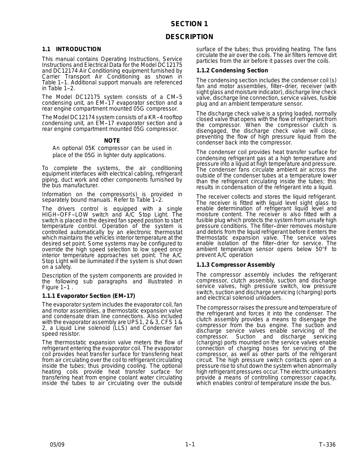#### **SECTION 1**

#### **DESCRIPTION**

#### **1.1 INTRODUCTION**

This manual contains Operating Instructions, Service Instructions and Electrical Data for the Model DC12175 and DC12174 Air Conditioning equipment furnished by Carrier Transport Air Conditioning as shown in Table 1--1. Additional support manuals are referenced in Table  $1-2$ .

The Model DC12175 system consists of a CM-5 condensing unit, an EM--17 evaporator section and a rear engine compartment mounted 05G compressor.

The Model DC12174 system consists of a KR-4 rooftop condensing unit, an EM-17 evaporator section and a rear engine compartment mounted 05G compressor.

#### **NOTE**

An optional 05K compressor can be used in place of the 05G in lighter duty applications.

To complete the systems, the air conditioning equipment interfaces with electrical cabling, refrigerant piping, duct work and other components furnished by the bus manufacturer.

Information on the compressor(s) is provided in separately bound manuals. Refer to Table 1-2.

The drivers control is equipped with a single HIGH-OFF-LOW switch and A/C Stop Light. The switch is placed in the desired fan speed postion to start temperature control. Operation of the system is controlled automatically by an electronic thermostat which maintains the vehicles interior temperature at the desired set point. Some systems may be configured to override the high speed selection to low speed once interior temperature approaches set point. The A/C Stop Light will be liuminated if the system is shut down on a safety.

Description of the system components are provided in the following sub paragraphs and illustrated in Figure  $1-1$ .

#### **1.1.1 Evaporator Section (EM--17)**

The evaporator system includes the evaporator coil, fan and motor assemblies, a thermostatic expansion valve and condensate drain line connections. Also included with the evaporator assembly are UPS1, 2 & 3, CFS 1 & 2, a Liquid Line solenoid (LLS) and Condenser fan speed resistor.

The thermostatic expansion valve meters the flow of refrigerant entering the evaporator coil. The evaporator coil provides heat transfer surface for transfering heat from air circulating over the coil to refrigerant circulating inside the tubes; thus providing cooling. The optional heating coils provide heat transfer surface for transfering heat from engine coolant water circulating inside the tubes to air circulating over the outside

surface of the tubes; thus providing heating. The fans circulate the air over the coils. The air filters remove dirt particles from the air before it passes over the coils.

#### **1.1.2 Condensing Section**

The condensing section includes the condenser coil (s) fan and motor assemblies, filter-drier, receiver (with sight glass and moisture indicator), discharge line check valve, discharge line connection, service valves, fusible plug and an ambient temperature sensor.

The discharge check valve is a spring loaded, normally closed valve that opens with the flow of refrigerant from the compressor. When the compressor clutch is disengaged, the discharge check valve will close, preventing the flow of high pressure liquid from the condenser back into the compressor.

The condenser coil provides heat transfer surface for condensing refrigerant gas at a high temperature and pressure into a liquid at high temperature and pressure. The condenser fans circulate ambient air across the outside of the condenser tubes at a temperature lower than the refrigerant circulating inside the tubes; this results in condensation of the refrigerant into a liquid.

The receiver collects and stores the liquid refrigerant. The receiver is fitted with liquid level sight glass to enable determination of refrigerant liquid level and moisture content. The receiver is also fitted with a fusible plug which protects the system from unsafe high pressure conditions. The filter-drier removes moisture and debris from the liquid refrigerant before it enters the thermostatic expansion valve. The service valves enable isolation of the filter-drier for service. The ambient temperature sensor opens below 50°F to prevent A/C operation

#### **1.1.3 Compressor Assembly**

The compressor assembly includes the refrigerant compressor, clutch assembly, suction and discharge service valves, high pressure switch, low pressure switch, suction and discharge servicing (charging) ports and electrical solenoid unloaders.

The compressor raises the pressure and temperature of the refrigerant and forces it into the condenser. The clutch assembly provides a means to disengage the compressor from the bus engine. The suction and discharge service valves enable servicing of the compressor. Suction and discharge servicing (charging) ports mounted on the service valves enable connection of charging hoses for servicing of the compressor, as well as other parts of the refrigerant circuit. The high pressure switch contacts open on a pressure rise to shut down the system when abnormally high refrigerant pressures occur. The electric unloaders provide a means of controlling compressor capacity, which enables control of temperature inside the bus.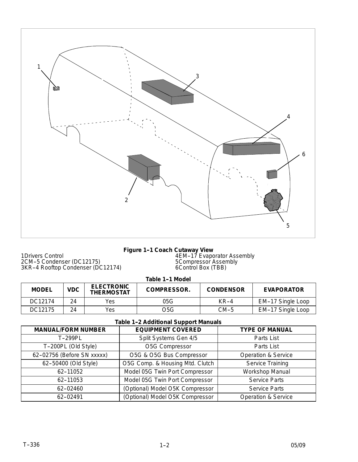

1Drivers Control 2CM--5 Condenser (DC12175) 3KR--4 Rooftop Condenser (DC12174)

#### **Figure 1-1 Coach Cutaway View**

4EM--17 Evaporator Assembly 5Compressor Assembly 6Control Box (TBB)

Table 1-1 Model

| <b>MODEL</b> | <b>VDC</b> | <b>ELECTRONIC</b><br><b>THERMOSTAT</b> | <b>COMPRESSOR.</b> | <b>CONDENSOR</b> | <b>EVAPORATOR</b> |
|--------------|------------|----------------------------------------|--------------------|------------------|-------------------|
| DC12174      | 24         | Yes                                    | 05G                | KR-4             | EM-17 Single Loop |
| DC12175      | 24         | Yes                                    | O5G                | CM-5             | EM-17 Single Loop |

#### **Table 1-2 Additional Support Manuals**

| <b>MANUAL/FORM NUMBER</b>  | <b>EQUIPMENT COVERED</b>        | <b>TYPE OF MANUAL</b>          |  |  |
|----------------------------|---------------------------------|--------------------------------|--|--|
| T-299PL                    | Split Systems Gen 4/5           | Parts List                     |  |  |
| T-200PL (Old Style)        | O5G Compressor                  | Parts List                     |  |  |
| 62-02756 (Before SN xxxxx) | O5G & O5G Bus Compressor        | <b>Operation &amp; Service</b> |  |  |
| 62-50400 (Old Style)       | O5G Comp. & Housing Mtd. Clutch | Service Training               |  |  |
| 62-11052                   | Model 05G Twin Port Compressor  | Workshop Manual                |  |  |
| 62-11053                   | Model 05G Twin Port Compressor  | <b>Service Parts</b>           |  |  |
| 62-02460                   | (Optional) Model O5K Compressor | <b>Service Parts</b>           |  |  |
| 62-02491                   | (Optional) Model O5K Compressor | <b>Operation &amp; Service</b> |  |  |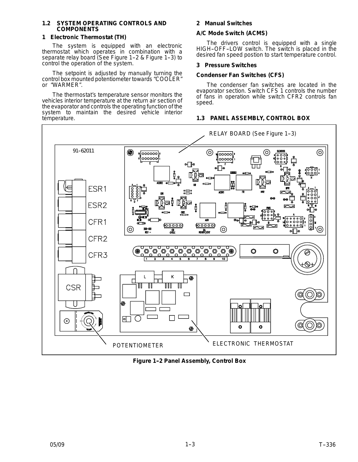#### **1.2 SYSTEM OPERATING CONTROLS AND COMPONENTS**

#### **1 Electronic Thermostat (TH)**

The system is equipped with an electronic thermostat which operates in combination with a separate relay board (See Figure 1-2 & Figure 1-3) to control the operation of the system.

The setpoint is adjusted by manually turning the control box mounted potentiometer towards "COOLER" or "WARMER".

The thermostat's temperature sensor monitors the vehicles interior temperature at the return air section of the evaporator and controls the operating function of the system to maintain the desired vehicle interior temperature.

#### **2 Manual Switches**

#### **A/C Mode Switch (ACMS)**

The drivers control is equipped with a single HIGH-OFF-LOW switch. The switch is placed in the desired fan speed postion to start temperature control.

#### **3 Pressure Switches**

#### **Condenser Fan Switches (CFS)**

The condenser fan switches are located in the evaporator section. Switch CFS 1 controls the number of fans in operation while switch CFR2 controls fan speed.

#### **1.3 PANEL ASSEMBLY, CONTROL BOX**



**Figure 1-2 Panel Assembly, Control Box**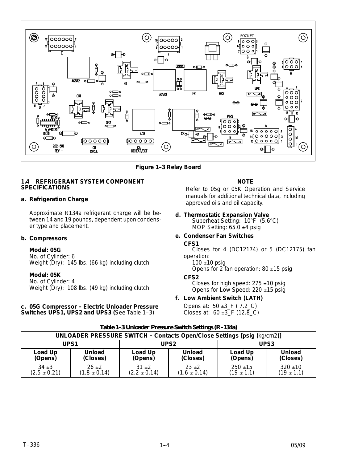

**Figure 1-3 Relay Board** 

#### **1.4 REFRIGERANT SYSTEM COMPONENT SPECIFICATIONS**

#### **a. Refrigeration Charge**

Approximate R134a refrigerant charge will be between 14 and 19 pounds, dependent upon condenser type and placement.

#### **b. Compressors**

#### **Model: 05G**

No. of Cylinder: 6 Weight (Dry): 145 lbs. (66 kg) including clutch

#### **Model: 05K**

No. of Cylinder: 4 Weight (Dry): 108 lbs. (49 kg) including clutch

#### **c. 05G Compressor -- Electric Unloader Pressure Switches UPS1, UPS2 and UPS3 (See Table 1-3)**

#### **NOTE**

Refer to 05g or 05K Operation and Service manuals for additional technical data, including approved oils and oil capacity.

**d. Thermostatic Expansion Valve** Superheat Setting: 10°F (5.6°C) MOP Setting:  $65.0 \pm 4$  psig

#### **e. Condenser Fan Switches**

#### **CFS1**

Closes for 4 (DC12174) or 5 (DC12175) fan operation:

 $100 + 10$  psig

Opens for 2 fan operation:  $80 \pm 15$  psig

#### **CFS2**

Closes for high speed:  $275 \pm 10$  psig Opens for Low Speed: 220 ±15 psig

#### **f. Low Ambient Switch (LATH)**

Opens at: 50 ±3\_F *( 7.2*\_*C)* Closes at: 60 ±3\_F *(12.8*\_*C)*

|                  | UNLOADER PRESSURE SWITCH - Contacts Open/Close Settings [psig (kg/cm2)] |                  |                  |                  |                |
|------------------|-------------------------------------------------------------------------|------------------|------------------|------------------|----------------|
| UPS <sub>1</sub> |                                                                         | UPS <sub>2</sub> |                  | UPS <sub>3</sub> |                |
| Load Up          | Unload                                                                  | Load Up          | <b>Unload</b>    | Load Up          | <b>Unload</b>  |
| (Opens)          | (Closes)                                                                | (Opens)          | (Closes)         | (Opens)          | (Closes)       |
| $34 + 3$         | $26 + 2$                                                                | $31 + 2$         | $23+2$           | $250 \pm 15$     | $320 \pm 10$   |
| $(2.5 \pm 0.21)$ | $(1.8 \pm 0.14)$                                                        | $(2.2 \pm 0.14)$ | $(1.6 \pm 0.14)$ | $(19 \pm 1.1)$   | $(19 \pm 1.1)$ |

#### Table 1-3 Unloader Pressure Switch Settings (R-134a)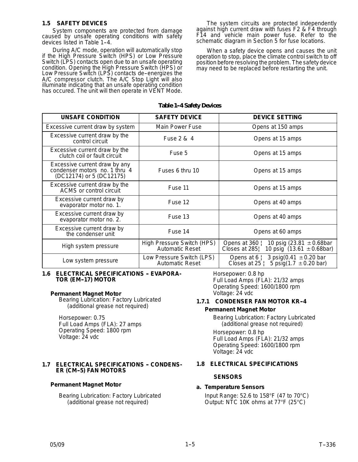#### **1.5 SAFETY DEVICES**

System components are protected from damage caused by unsafe operating conditions with safety devices listed in Table 1-4.

During A/C mode, operation will automatically stop if the High Pressure Switch (HPS) or Low Pressure Switch (LPS) contacts open due to an unsafe operating condition. Opening the High Pressure Switch (HPS) or Low Pressure Switch (LPS) contacts de-energizes the A/C compressor clutch. The A/C Stop Light will also illuminate indicating that an unsafe operating condition has occured. The unit will then operate in VENT Mode.

The system circuits are protected independently against high current draw with fuses F2 & F4 through F14 and vehicle main power fuse. Refer to the schematic diagram in Section 5 for fuse locations.

When a safety device opens and causes the unit operation to stop, place the climate control switch to off position before resolving the problem. The safety device may need to be replaced before restarting the unit.

#### **Table 1--4 Safety Devices**

| <b>UNSAFE CONDITION</b>                                                                    | <b>SAFETY DEVICE</b>                          | <b>DEVICE SETTING</b>                                                                                |
|--------------------------------------------------------------------------------------------|-----------------------------------------------|------------------------------------------------------------------------------------------------------|
| Excessive current draw by system                                                           | Main Power Fuse                               | Opens at 150 amps                                                                                    |
| Excessive current draw by the<br>control circuit                                           | Fuse 2 & 4                                    | Opens at 15 amps                                                                                     |
| Excessive current draw by the<br>clutch coil or fault circuit                              | Fuse 5                                        | Opens at 15 amps                                                                                     |
| Excessive current draw by any<br>condenser motors no. 1 thru 4<br>(DC12174) or 5 (DC12175) | Fuses 6 thru 10                               | Opens at 15 amps                                                                                     |
| Excessive current draw by the<br>ACMS or control circuit                                   | Fuse 11                                       | Opens at 15 amps                                                                                     |
| Excessive current draw by<br>evaporator motor no. 1.                                       | Fuse 12                                       | Opens at 40 amps                                                                                     |
| Excessive current draw by<br>evaporator motor no. 2.                                       | Fuse 13                                       | Opens at 40 amps                                                                                     |
| Excessive current draw by<br>the condenser unit                                            | Fuse 14                                       | Opens at 60 amps                                                                                     |
| High system pressure                                                                       | High Pressure Switch (HPS)<br>Automatic Reset | 10 psig $(23.81 \pm 0.68$ bar<br>Opens at $360$  <br>10 psig $(13.61 \pm 0.68$ bar)<br>Closes at 285 |
| Low system pressure                                                                        | Low Pressure Switch (LPS)<br>Automatic Reset  | 3 psig(0.41 $\pm$ 0.20 bar<br>Opens at $6 \nmid$<br>5 psig(1.7 $\pm$ 0.20 bar)<br>Closes at $25$     |

#### **1.6 ELECTRICAL SPECIFICATIONS - EVAPORA-TOR (EM--17) MOTOR**

#### **Permanent Magnet Motor**

Bearing Lubrication: Factory Lubricated (additional grease not required)

Horsepower: 0.75 Full Load Amps (FLA): 27 amps Operating Speed: 1800 rpm Voltage: 24 vdc

#### **1.7 ELECTRICAL SPECIFICATIONS - CONDENS-ER (CM--5) FAN MOTORS**

#### **Permanent Magnet Motor**

Bearing Lubrication: Factory Lubricated (additional grease not required)

Horsepower: 0.8 hp Full Load Amps (FLA): 21/32 amps Operating Speed: 1600/1800 rpm Voltage: 24 vdc

### **1.7.1 CONDENSER FAN MOTOR KR--4**

#### **Permanent Magnet Motor**

Bearing Lubrication: Factory Lubricated (additional grease not required)

Horsepower: 0.8 hp Full Load Amps (FLA): 21/32 amps Operating Speed: 1600/1800 rpm Voltage: 24 vdc

#### **1.8 ELECTRICAL SPECIFICATIONS**

#### **SENSORS**

#### **a. Temperature Sensors**

Input Range: 52.6 to 158°F (47 to 70°C*)* Output: NTC 10K ohms at 77°F (25°C*)*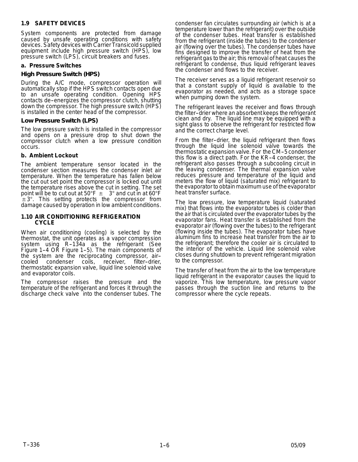#### **1.9 SAFETY DEVICES**

System components are protected from damage caused by unsafe operating conditions with safety devices. Safety devices with Carrier Transicold supplied equipment include high pressure switch (HPS), low pressure switch (LPS), circuit breakers and fuses.

#### **a. Pressure Switches**

#### *High Pressure Switch (HPS)*

During the A/C mode, compressor operation will automatically stop if the HPS switch contacts open due to an unsafe operating condition. Opening HPS contacts de--energizes the compressor clutch, shutting down the compressor. The high pressure switch (HPS) is installed in the center head of the compressor.

#### *Low Pressure Switch (LPS)*

The low pressure switch is installed in the compressor and opens on a pressure drop to shut down the compressor clutch when a low pressure condition occurs.

#### **b. Ambient Lockout**

The ambient temperature sensor located in the condenser section measures the condenser inlet air temperature. When the temperature has fallen below the cut out set point the compressor is locked out until the temperature rises above the cut in setting. The set point will be to cut out at 50°F  $\pm$   $\,$  3° and cut in at 60°F ±3°. This setting protects the compressor from damage caused by operation in low ambient conditions.

#### **1.10 AIR CONDITIONING REFRIGERATION CYCLE**

When air conditioning (cooling) is selected by the thermostat, the unit operates as a vapor compression system using R-134a as the refrigerant (See Figure 1-4 OR Figure 1-5). The main components of the system are the reciprocating compressor, air- condenser coils, receiver, filter-drier, thermostatic expansion valve, liquid line solenoid valve and evaporator coils.

The compressor raises the pressure and the temperature of the refrigerant and forces it through the discharge check valve into the condenser tubes. The condenser fan circulates surrounding air (which is at a temperature lower than the refrigerant) over the outside of the condenser tubes. Heat transfer is established from the refrigerant (inside the tubes) to the condenser air (flowing over the tubes). The condenser tubes have fins designed to improve the transfer of heat from the refrigerant gas to the air; this removal of heat causes the refrigerant to condense, thus liquid refrigerant leaves the condenser and flows to the receiver.

The receiver serves as a liquid refrigerant reservoir so that a constant supply of liquid is available to the evaporator as needed, and acts as a storage space when pumping down the system.

The refrigerant leaves the receiver and flows through the filter--drier where an absorbent keeps the refrigerant clean and dry. The liquid line may be equipped with a sight glass to observe the refrigerant for restricted flow and the correct charge level.

From the filter-drier, the liquid refrigerant then flows through the liquid line solenoid valve towards the thermostatic expansion valve. For the CM--5 condenser this flow is a direct path. For the KR-4 condenser, the refrigerant also passes through a subcooling circuit in the leaving condenser. The thermal expansion valve reduces pressure and temperature of the liquid and meters the flow of liquid (saturated mix) refrigerant to the evaporator to obtain maximum use of the evaporator heat transfer surface.

The low pressure, low temperature liquid (saturated mix) that flows into the evaporator tubes is colder than the air that is circulated over the evaporator tubes by the evaporator fans. Heat transfer is established from the evaporator air (flowing over the tubes) to the refrigerant (flowing inside the tubes). The evaporator tubes have aluminum fins to increase heat transfer from the air to the refrigerant; therefore the cooler air is circulated to the interior of the vehicle. Liquid line solenoid valve closes during shutdown to prevent refrigerant migration to the compressor.

The transfer of heat from the air to the low temperature liquid refrigerant in the evaporator causes the liquid to vaporize. This low temperature, low pressure vapor passes through the suction line and returns to the compressor where the cycle repeats.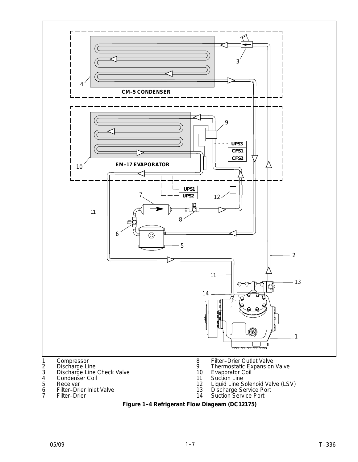

- 7 Filter-Drier
- 14 Suction Service Port Figure 1-4 Refrigerant Flow Diageam (DC12175)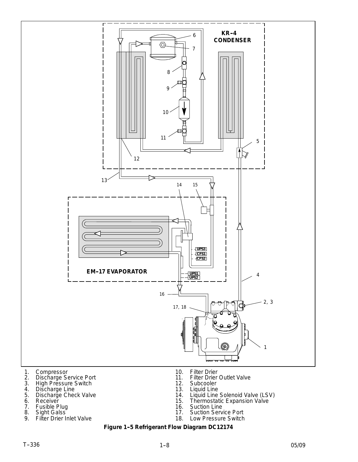

- 5. Discharge Check Valve
- 6. Receiver
- 7. Fusible Plug
- 8. Sight Galss
- 9. Filter Drier Inlet Valve
- 14. Liquid Line Solenoid Valve (LSV)
- 15. Thermostatic Expansion Valve
- 16. Suction Line
- 17. Suction Service Port
- 18. Low Pressure Switch

#### **Figure 1-5 Refrigerant Flow Diagram DC12174**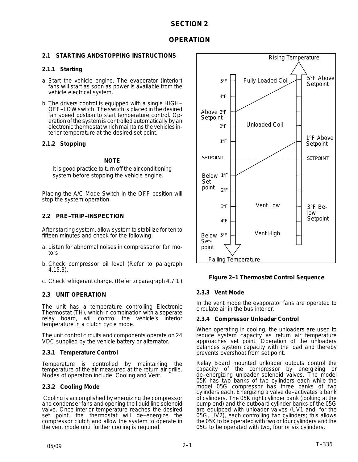#### **SECTION 2**

#### **OPERATION**

#### **2.1 STARTING ANDSTOPPING INSTRUCTIONS**

#### **2.1.1 Starting**

- a. Start the vehicle engine. The evaporator (interior) fans will start as soon as power is available from the vehicle electrical system.
- b. The drivers control is equipped with a single HIGH-- OFF--LOW switch. The switch is placed in the desired fan speed postion to start temperature control. Operation of the system is controlled automatically by an electronic thermostat which maintains the vehicles interior temperature at the desired set point.

#### **2.1.2 Stopping**

#### **NOTE**

It is good practice to turn off the air conditioning system before stopping the vehicle engine.

Placing the A/C Mode Switch in the OFF position will stop the system operation.

#### **2.2 PRE--TRIP--INSPECTION**

After starting system, allow system to stabilize for ten to fifteen minutes and check for the following:

- a. Listen for abnormal noises in compressor or fan motors.
- b. Check compressor oil level (Refer to paragraph 4.15.3).
- c. Check refrigerant charge. (Refer to paragraph 4.7.1 )

#### **2.3 UNIT OPERATION**

The unit has a temperature controlling Electronic Thermostat (TH), which in combination with a seperate relay board, will control the vehicle's interior temperature in a clutch cycle mode.

The unit control circuits and components operate on 24 VDC supplied by the vehicle battery or alternator.

#### **2.3.1 Temperature Control**

Temperature is controlled by maintaining the temperature of the air measured at the return air grille. Modes of operation include: Cooling and Vent.

#### **2.3.2 Cooling Mode**

Cooling is accomplished by energizing the compressor and condenser fans and opening the liquid line solenoid valve. Once interior temperature reaches the desired set point, the thermostat will de-energize the compressor clutch and allow the system to operate in the vent mode until further cooling is required.



#### **Figure 2-1 Thermostat Control Sequence**

#### **2.3.3 Vent Mode**

In the vent mode the evaporator fans are operated to circulate air in the bus interior.

#### **2.3.4 Compressor Unloader Control**

When operating in cooling, the unloaders are used to reduce system capacity as return air temperature approaches set point. Operation of the unloaders balances system capacity with the load and thereby prevents overshoot from set point.

Relay Board mounted unloader outputs control the capacity of the compressor by energizing or de--energizing unloader solenoid valves. The model 05K has two banks of two cylinders each while the model 05G compressor has three banks of two cylinders each. Energizing a valve de-activates a bank of cylinders. The 05K right cylinder bank (looking at the pump end) and the outboard cylinder banks of the 05G are equipped with unloader valves (UV1 and, for the 05G, UV2), each controlling two cylinders; this allows the 05K to be operated with two or four cylinders and the 05G to be operated with two, four or six cylinders.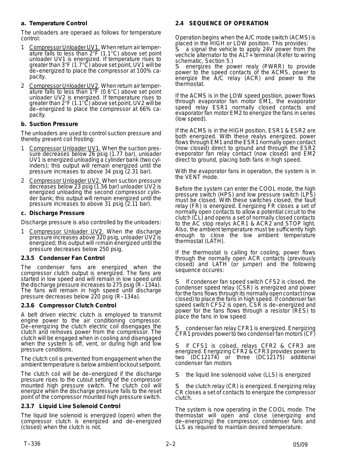#### **a. Temperature Control**

The unloaders are operaed as follows for temperature control:

- 1 Compressor Unloader UV1. When return air temperature falls to less than 2°F (1.1°C) above set point unloader UV1 is energized. If temperature rises to greater than  $3^{\circ}F(1.7^{\circ}\text{C})$  above set point, UV1 will be de--energized to place the compressor at 100% capacity.
- 2 Compressor Unloader UV2. When return air temperature falls to less than 1°F (0.6°C) above set point unloader UV2 is energized. If temperature rises to greater than  $2^{\circ}F(1.1^{\circ}C)$  above set point, UV2 will be de--energized to place the compressor at 66% capacity.

#### **b. Suction Pressure**

The unloaders are used to control suction pressure and thereby prevent coil frosting:

- 1 Compressor Unloader UV1. When the suction pressure decreases below 26 psig (1.77 bar), unloader UV1 is energized unloading a cylinder bank (two cylinders); this output will remain energized until the pressure increases to above 34 psig (2.31 bar).
- 2 Compressor Unloader UV2. When suction pressure decreases below 23 psig (1.56 bar) unloader UV2 is energized unloading the second compressor cylinder bank; this output will remain energized until the pressure increases to above 31 psig (2.11 bar).

#### **c. Discharge Pressure**

Discharge pressure is also controlled by the unloaders:

Compressor Unloader UV2. When the discharge pressure increases above 320 psig, unloader UV2 is energized; this output will remain energized until the pressure decreases below 250 psig.

#### **2.3.5 Condenser Fan Control**

The condenser fans are energized when the compressor clutch output is energized. The fans are started in low speed and will remain in low speed until the discharge pressure increases to 275 psig (R--134a). The fans will remain in high speed until discharge pressure decreases below 220 psig (R--134a).

#### **2.3.6 Compressor Clutch Control**

A belt driven electric clutch is employed to transmit engine power to the air conditioning compressor. De-energizing the clutch electric coil disengages the clutch and removes power from the compressor. The clutch will be engaged when in cooling and disengaged when the system is off, vent, or during high and low pressure conditions.

The clutch coil is prevented from engagement when the ambient temperature is below ambient lockout setpoint.

The clutch coil will be de-energized if the discharge pressure rises to the cutout setting of the compressor mounted high pressure switch. The clutch coil will energize when the discharge pressure falls to the reset point of the compressor mounted high pressure switch*.*

#### **2.3.7 Liquid Line Solenoid Control**

The liquid line solenoid is energized (open) when the compressor clutch is energized and de-energized (closed) when the clutch is not.

#### **2.4 SEQUENCE OF OPERATION**

Operation begins when the A/C mode switch (ACMS) is placed in the HIGH or LOW position. This provides:<br>S a signal the vehicle is contained in the vehicle is

a signal the vehicle to apply 24V power from the vechcle alternator to the ALT+ terminal (Refer to wiring schematic, Section 5.)

energizes the power realy (PWRR) to provide power to the speed contacts of the ACMS, power to energize the A/C relay (ACR) and power to the thermostat.

If the ACMS is in the LOW speed postiion, power flows through evaporator fan motor EM1, the evaporator speed relay ESR1 normally closed contacts and evaporator fan motor EM2 to energize the fans in series (low speed).

If the ACMS is in the HIGH position, ESR1 & ESR2 are both energized. With these realys energized, power flows through EM1 and the ESR1 normally open contact (now closed) direct to ground and through the ESR2 eveporator fan relay contact (now closed) and EM2 direct to ground, placing both fans in high speed.

With the evaporator fans in operation, the system is in the VENT mode.

Before the system can enter the COOL mode, the high pressure switch (HPS) and low pressure switch (LPS) must be closed. With these switches closed, the fault relay (FR) is energized. Energizing FR closes a set of normally open contacts to allow a potential circuit to the clutch (CL) and opens a set of normally closed contacts to the AC stop realys ACR1 & ACR2 and STOP light. Also, the ambient temperature must be sufficiently high enough to close the low ambient temperature thermostat (LATH).

If the thermostat is calling for cooling, power flows through the normally open ACR contacts (previously closed) and LATH (or jumper) and the following sequence occures:

S If condenser fan speed switch CFS2 is closed, the condenser speed relay (CSR) is energized and power for the fans flows through its normally open contact (now closed) to place the fans in high speed. If condenser fan speed switch CFS2 is open, CSR is de-energized and power for the fans flows through a resistor (RES) to place the fans in low speed.

condenser fan relay CFR1 is energized. Energizing CFR1 provides power to two condenser fan motors (CF)

S if CFS1 is colsed, relays CFR2 & CFR3 are energized. Energizing CFR2 & CFR3 provides power to two (DC12174) or three (DC12175) additional condenser fan motors

S the liquid line solenooid valve (LLS) is energized

the clutch relay (CR) is energized. Energizing relay CR closes a set of contacts to energize the compressor clutch.

The system is now operating in the COOL mode. The thermostat will open and close (energizing and de--energizing) the compressor, condenser fans and LLS as required to maintain desired temperature.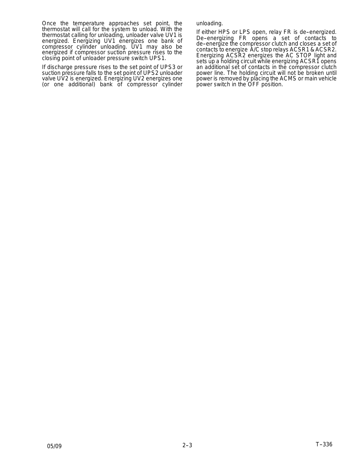Once the temperature approaches set point, the thermostat will call for the system to unload. With the thermostat calling for unloading, unloader valve UV1 is energized. Energizing UV1 energizes one bank of compressor cylinder unloading. UV1 may also be energized if compressor suction pressure rises to the closing point of unloader pressure switch UPS1.

If discharge pressure rises to the set point of UPS3 or suction pressure falls to the set point of UPS2 unloader valve UV2 is energized. Energizing UV2 energizes one (or one additional) bank of compressor cylinder unloading.

If either HPS or LPS open, relay FR is de-energized. De-energizing FR opens a set of contacts to de--energize the compressor clutch and closes a set of contacts to energize A/C stop relays ACSR1 & ACSR2. Energizing ACSR2 energizes the AC STOP light and sets up a holding circuit while energizing ACSR1 opens an additional set of contacts in the compressor clutch power line. The holding circuit will not be broken until power is removed by placing the ACMS or main vehicle power switch in the OFF position.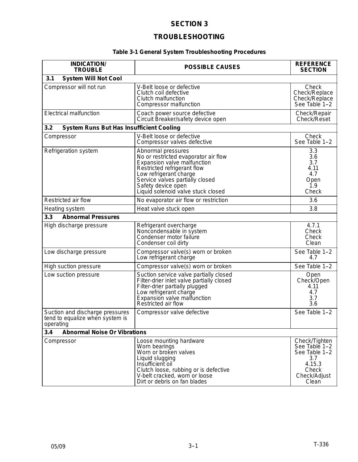#### **SECTION 3**

### **TROUBLESHOOTING**

#### **Table 3-1 General System Troubleshooting Procedures**

| <b>INDICATION/</b><br><b>TROUBLE</b>                                            | <b>POSSIBLE CAUSES</b>                                                                                                                                                                                                                            | <b>REFERENCE</b><br><b>SECTION</b>                                                                              |  |  |
|---------------------------------------------------------------------------------|---------------------------------------------------------------------------------------------------------------------------------------------------------------------------------------------------------------------------------------------------|-----------------------------------------------------------------------------------------------------------------|--|--|
| <b>System Will Not Cool</b><br>3.1                                              |                                                                                                                                                                                                                                                   |                                                                                                                 |  |  |
| Compressor will not run                                                         | V-Belt loose or defective<br>Clutch coil defective<br>Clutch malfunction<br>Compressor malfunction                                                                                                                                                | Check<br>Check/Replace<br>Check/Replace<br>See Table 1-2                                                        |  |  |
| <b>Electrical malfunction</b>                                                   | Coach power source defective<br>Circuit Breaker/safety device open                                                                                                                                                                                | Check/Repair<br>Check/Reset                                                                                     |  |  |
| <b>System Runs But Has Insufficient Cooling</b><br>3.2                          |                                                                                                                                                                                                                                                   |                                                                                                                 |  |  |
| Compressor                                                                      | V-Belt loose or defective<br>Compressor valves defective                                                                                                                                                                                          | Check<br>See Table 1-2                                                                                          |  |  |
| Refrigeration system                                                            | Abnormal pressures<br>No or restricted evaporator air flow<br>Expansion valve malfunction<br>Restricted refrigerant flow<br>Low refrigerant charge<br>Service valves partially closed<br>Safety device open<br>Liquid solenoid valve stuck closed | 3.3<br>3.6<br>3.7<br>4.11<br>4.7<br>Open<br>1.9<br>Check                                                        |  |  |
| Restricted air flow                                                             | No evaporator air flow or restriction                                                                                                                                                                                                             | 3.6                                                                                                             |  |  |
| Heating system                                                                  | Heat valve stuck open                                                                                                                                                                                                                             | 3.8                                                                                                             |  |  |
| 3.3<br><b>Abnormal Pressures</b>                                                |                                                                                                                                                                                                                                                   |                                                                                                                 |  |  |
| High discharge pressure                                                         | Refrigerant overcharge<br>Noncondensable in system<br>Condenser motor failure<br>Condenser coil dirty                                                                                                                                             | 4.7.1<br>Check<br>Check<br>Clean                                                                                |  |  |
| Low discharge pressure                                                          | Compressor valve(s) worn or broken<br>Low refrigerant charge                                                                                                                                                                                      | See Table 1-2<br>4.7                                                                                            |  |  |
| High suction pressure                                                           | Compressor valve(s) worn or broken                                                                                                                                                                                                                | See Table 1-2                                                                                                   |  |  |
| Low suction pressure                                                            | Suction service valve partially closed<br>Filter-drier inlet valve partially closed<br>Filter-drier partially plugged<br>Low refrigerant charge<br>Expansion valve malfunction<br>Restricted air flow                                             | Open<br>Check/Open<br>4.11<br>4.7<br>3.7<br>3.6                                                                 |  |  |
| Suction and discharge pressures<br>tend to equalize when system is<br>operating | Compressor valve defective                                                                                                                                                                                                                        | See Table 1-2                                                                                                   |  |  |
| 3.4<br><b>Abnormal Noise Or Vibrations</b>                                      |                                                                                                                                                                                                                                                   |                                                                                                                 |  |  |
| Compressor                                                                      | Loose mounting hardware<br>Worn bearings<br>Worn or broken valves<br>Liquid slugging<br>Insufficient oil<br>Clutch loose, rubbing or is defective<br>V-belt cracked, worn or loose<br>Dirt or debris on fan blades                                | Check/Tighten<br>See Table 1-2<br>See Table 1-2<br>3.7<br>4.15.3<br>Check<br>Check/Adjust<br>Clean <sup>1</sup> |  |  |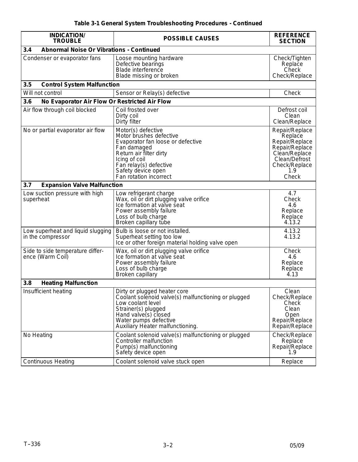| <b>INDICATION/</b><br><b>TROUBLE</b>                   | <b>POSSIBLE CAUSES</b>                                                                                                                                                                                                  | <b>REFERENCE</b><br><b>SECTION</b>                                                                                               |  |  |
|--------------------------------------------------------|-------------------------------------------------------------------------------------------------------------------------------------------------------------------------------------------------------------------------|----------------------------------------------------------------------------------------------------------------------------------|--|--|
| <b>Abnormal Noise Or Vibrations - Continued</b><br>3.4 |                                                                                                                                                                                                                         |                                                                                                                                  |  |  |
| Condenser or evaporator fans                           | Loose mounting hardware<br>Defective bearings<br><b>Blade interference</b><br>Blade missing or broken                                                                                                                   | Check/Tighten<br>Replace<br>Check<br>Check/Replace                                                                               |  |  |
| 3.5<br><b>Control System Malfunction</b>               |                                                                                                                                                                                                                         |                                                                                                                                  |  |  |
| Will not control                                       | Sensor or Relay(s) defective                                                                                                                                                                                            | Check                                                                                                                            |  |  |
| No Evaporator Air Flow Or Restricted Air Flow<br>3.6   |                                                                                                                                                                                                                         |                                                                                                                                  |  |  |
| Air flow through coil blocked                          | Coil frosted over<br>Dirty coil<br>Dirty filter                                                                                                                                                                         | Defrost coil<br>Clean<br>Clean/Replace                                                                                           |  |  |
| No or partial evaporator air flow                      | Motor(s) defective<br>Motor brushes defective<br>Evaporator fan loose or defective<br>Fan damaged<br>Return air filter dirty<br>Icing of coil<br>Fan relay(s) defective<br>Safety device open<br>Fan rotation incorrect | Repair/Replace<br>Replace<br>Repair/Replace<br>Repair/Replace<br>Clean/Replace<br>Clean/Defrost<br>Check/Replace<br>1.9<br>Check |  |  |
| <b>Expansion Valve Malfunction</b><br>3.7              |                                                                                                                                                                                                                         |                                                                                                                                  |  |  |
| Low suction pressure with high<br>superheat            | Low refrigerant charge<br>Wax, oil or dirt plugging valve orifice<br>Ice formation at valve seat<br>Power assembly failure<br>Loss of bulb charge<br>Broken capillary tube                                              | 4.7<br>Check<br>4.6<br>Replace<br>Replace<br>4.13.2                                                                              |  |  |
| Low superheat and liquid slugging<br>in the compressor | Bulb is loose or not installed.<br>Superheat setting too low<br>Ice or other foreign material holding valve open                                                                                                        | 4.13.2<br>4.13.2                                                                                                                 |  |  |
| Side to side temperature differ-<br>ence (Warm Coil)   | Wax, oil or dirt plugging valve orifice<br>Ice formation at valve seat<br>Power assembly failure<br>Loss of bulb charge<br><b>Broken capillary</b>                                                                      | Check<br>4.6<br>Replace<br>Replace<br>4.13                                                                                       |  |  |
| 3.8<br><b>Heating Malfunction</b>                      |                                                                                                                                                                                                                         |                                                                                                                                  |  |  |
| Insufficient heating                                   | Dirty or plugged heater core<br>Coolant solenoid valve(s) malfunctioning or plugged<br>Low coolant level<br>Strainer(s) plugged<br>Hand valve(s) closed<br>Water pumps defective<br>Auxiliary Heater malfunctioning.    | Clean<br>Check/Replace<br>Check<br>Clean<br>Open<br>Repair/Replace<br>Repair/Replace                                             |  |  |
| No Heating                                             | Coolant solenoid valve(s) malfunctioning or plugged<br>Controller malfunction<br>Pump(s) malfunctioning<br>Safety device open                                                                                           | Check/Replace<br>Replace<br>Repair/Replace<br>1.9                                                                                |  |  |
| <b>Continuous Heating</b>                              | Coolant solenoid valve stuck open                                                                                                                                                                                       | Replace                                                                                                                          |  |  |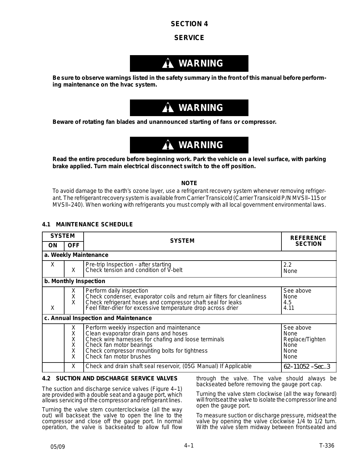#### **SECTION 4**

#### **SERVICE**

# **WARNING**

**Be sure to observe warnings listed in the safety summary in the front of this manual before performing maintenance on the hvac system.**

# **WARNING**

**Beware of rotating fan blades and unannounced starting of fans or compressor.**

# **WARNING**

**Read the entire procedure before beginning work. Park the vehicle on a level surface, with parking brake applied. Turn main electrical disconnect switch to the off position.**

#### **NOTE**

To avoid damage to the earth's ozone layer, use a refrigerant recovery system whenever removing refrigerant. The refrigerant recovery system is available from Carrier Transicold (Carrier Transicold P/N MVSll--115 or MVSll--240). When working with refrigerants you must comply with all local government environmental laws.

#### **4.1 MAINTENANCE SCHEDULE**

| <b>SYSTEM</b> |                            | <b>SYSTEM</b>                                                                                                                                                                                                                                      | <b>REFERENCE</b>                                             |  |
|---------------|----------------------------|----------------------------------------------------------------------------------------------------------------------------------------------------------------------------------------------------------------------------------------------------|--------------------------------------------------------------|--|
| ΟN            | <b>OFF</b>                 |                                                                                                                                                                                                                                                    | <b>SECTION</b>                                               |  |
|               |                            | a. Weekly Maintenance                                                                                                                                                                                                                              |                                                              |  |
| X             | X                          | Pre-trip Inspection - after starting<br>Check tension and condition of V-belt                                                                                                                                                                      | 2.2<br>None                                                  |  |
|               |                            | b. Monthly Inspection                                                                                                                                                                                                                              |                                                              |  |
| X             | X.<br>Χ<br>X               | Perform daily inspection<br>Check condenser, evaporator coils and return air filters for cleanliness<br>Check refrigerant hoses and compressor shaft seal for leaks<br>Feel filter-drier for excessive temperature drop across drier               | See above<br>None<br>4.5<br>4.11                             |  |
|               |                            | c. Annual Inspection and Maintenance                                                                                                                                                                                                               |                                                              |  |
|               | X<br>X<br>X<br>X<br>X<br>X | Perform weekly inspection and maintenance<br>Clean evaporator drain pans and hoses<br>Check wire harnesses for chafing and loose terminals<br>Check fan motor bearings<br>Check compressor mounting bolts for tightness<br>Check fan motor brushes | See above<br>None<br>Replace/Tighten<br>None<br>None<br>None |  |
|               | X.                         | Check and drain shaft seal reservoir, (05G Manual) If Applicable                                                                                                                                                                                   | $62 - 11052 - Sec. .3$                                       |  |

#### **4.2 SUCTION AND DISCHARGE SERVICE VALVES**

The suction and discharge service valves (Figure 4-1) are provided with a double seat and a gauge port, which allows servicing of the compressor and refrigerant lines.

Turning the valve stem counterclockwise (all the way out) will *backseat* the valve to open the line to the compressor and close off the gauge port. In normal operation, the valve is backseated to allow full flow

through the valve. The valve should always be backseated before removing the gauge port cap.

Turning the valve stem clockwise (all the way forward) will *frontseat* the valve to isolate the compressor line and open the gauge port.

To measure suction or discharge pressure, midseat the valve by opening the valve clockwise 1/4 to 1/2 turn. With the valve stem midway between frontseated and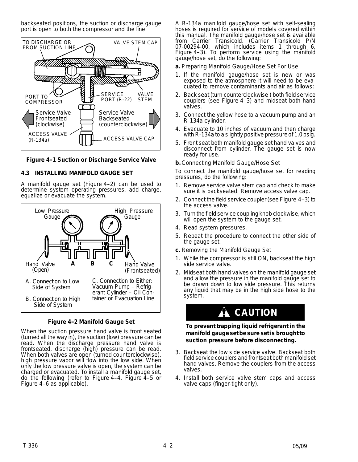backseated positions, the suction or discharge gauge port is open to both the compressor and the line.



#### **Figure 4-1 Suction or Discharge Service Valve**

#### **4.3 INSTALLING MANIFOLD GAUGE SET**

A manifold gauge set (Figure 4-2) can be used to determine system operating pressures, add charge, equalize or evacuate the system.



**Figure 4-2 Manifold Gauge Set** 

When the suction pressure hand valve is front seated (turned all the way in), the suction (low) pressure can be read. When the discharge pressure hand valve is frontseated, discharge (high) pressure can be read. When both valves are open (turned counterclockwise), high pressure vapor will flow into the low side. When only the low pressure valve is open, the system can be charged or evacuated. To install a manifold gauge set, do the following (refer to Figure 4-4, Figure  $4-5$  or Figure 4-6 as applicable).

A R-134a manifold gauge/hose set with self-sealing hoses is required for service of models covered within this manual. The manifold gauge/hose set is available from Carrier Transicold. (Carrier Transicold P/N 07-00294-00, which includes items 1 through 6, Figure 4-3). To perform service using the manifold gauge/hose set, do the following:

**a.** Preparing Manifold Gauge/Hose Set For Use

- 1. If the manifold gauge/hose set is new or was exposed to the atmosphere it will need to be evacuated to remove contaminants and air as follows:
- 2. Back seat (turn counterclockwise ) both field service couplers (see Figure 4-3) and midseat both hand valves.
- 3. Connect the yellow hose to a vacuum pump and an R-134a cylinder.
- 4. Evacuate to 10 inches of vacuum and then charge with R-134a to a slightly positive pressure of 1.0 psig.
- 5. Front seat both manifold gauge set hand valves and disconnect from cylinder. The gauge set is now ready for use.
- **b.** Connecting Manifold Gauge/Hose Set

To connect the manifold gauge/hose set for reading pressures, do the following:

- 1. Remove service valve stem cap and check to make sure it is backseated. Remove access valve cap.
- 2. Connect the field service coupler (see Figure 4-3) to the access valve.
- 3. Turn the field service coupling knob clockwise, which will open the system to the gauge set.
- 4. Read system pressures.
- 5. Repeat the procedure to connect the other side of the gauge set.
- **c.** Removing the Manifold Gauge Set
- 1. While the compressor is still ON, backseat the high side service valve.
- 2. Midseat both hand valves on the manifold gauge set and allow the pressure in the manifold gauge set to be drawn down to low side pressure. This returns any liquid that may be in the high side hose to the system.

# **CAUTION**

**To prevent trapping liquid refrigerant in the manifold gauge set be sure set is brought to suction pressure before disconnecting.**

- 3. Backseat the low side service valve. Backseat both field service couplers and frontseat both manifold set hand valves. Remove the couplers from the access valves.
- 4. Install both service valve stem caps and access valve caps (finger-tight only).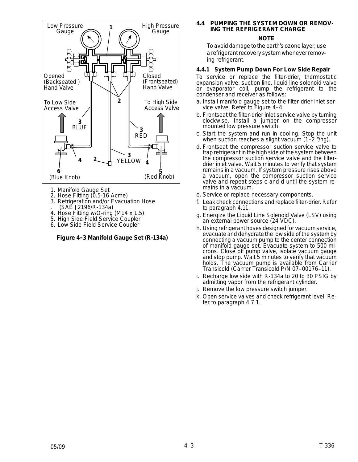

- 1. Manifold Gauge Set
- 2. Hose Fitting (0.5-16 Acme)
- 3. Refrigeration and/or Evacuation Hose . (SAE J2196/R-134a)
- 4. Hose Fitting w/O-ring (M14 x 1.5)
- 5. High Side Field Service Coupler
- 6. Low Side Field Service Coupler

#### **Figure 4--3 Manifold Gauge Set (R-134a)**

#### **4.4 PUMPING THE SYSTEM DOWN OR REMOV-ING THE REFRIGERANT CHARGE**

#### **NOTE**

To avoid damage to the earth's ozone layer, use a refrigerant recovery system whenever removing refrigerant.

#### **4.4.1 System Pump Down For Low Side Repair**

To service or replace the filter-drier, thermostatic expansion valve, suction line, liquid line solenoid valve or evaporator coil, pump the refrigerant to the condenser and receiver as follows:

- a. Install manifold gauge set to the filter-drier inlet service valve. Refer to Figure 4-4.
- b. Frontseat the filter-drier inlet service valve by turning clockwise. Install a jumper on the compressor mounted low pressure switch.
- c. Start the system and run in cooling. Stop the unit when suction reaches a slight vacuum  $(1-2 \n<sup>4</sup>/hg)$ .
- d. Frontseat the compressor suction service valve to trap refrigerant in the high side of the system between the compressor suction service valve and the filterdrier inlet valve. Wait 5 minutes to verify that system remains in a vacuum. If system pressure rises above a vacuum, open the compressor suction service valve and repeat steps c and d until the system remains in a vacuum.
- e. Service or replace necessary components.
- f. Leak check connections and replace filter-drier. Refer to paragraph 4.11.
- g. Energize the Liquid Line Solenoid Valve (LSV) using an external power source (24 VDC).
- h. Using refrigerant hoses designed for vacuum service, evacuate and dehydrate the low side of the system by connecting a vacuum pump to the center connection of manifold gauge set. Evacuate system to 500 microns. Close off pump valve, isolate vacuum gauge and stop pump. Wait 5 minutes to verify that vacuum holds. The vacuum pump is available from Carrier Transicold (Carrier Transicold P/N 07-00176-11).
- i. Recharge low side with R-134a to 20 to 30 PSIG by admitting vapor from the refrigerant cylinder.
- j. Remove the low pressure switch jumper.
- k. Open service valves and check refrigerant level. Refer to paragraph 4.7.1.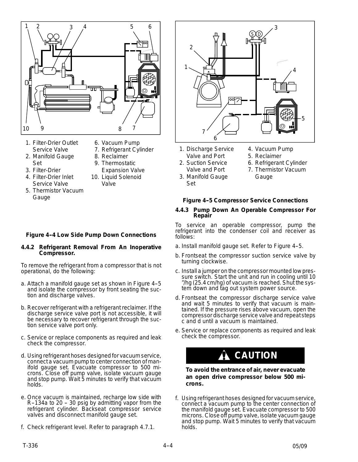

- 1. Filter-Drier Outlet Service Valve
- 2. Manifold Gauge Set
- 3. Filter-Drier
- 4. Filter-Drier Inlet Service Valve
- 5. Thermistor Vacuum Gauge
- 6. Vacuum Pump
- 7. Refrigerant Cylinder
- 8. Reclaimer 9. Thermostatic
- Expansion Valve
- 10. Liquid Solenoid Valve



- 1. Discharge Service Valve and Port
- 2. Suction Service Valve and Port
- 3. Manifold Gauge Set
- 4. Vacuum Pump
- 5. Reclaimer
- 6. Refrigerant Cylinder
- 7. Thermistor Vacuum **Gauge**

#### **Figure 4--5 Compressor Service Connections**

#### **4.4.3 Pump Down An Operable Compressor For Repair**

To service an operable compressor, pump the refrigerant into the condenser coil and receiver as follows:

- a. Install manifold gauge set. Refer to Figure 4-5.
- b. Frontseat the compressor suction service valve by turning clockwise.
- c. Install a jumper on the compressor mounted low pressure switch. Start the unit and run in cooling until 10 "/hg (25.4 cm/hg) of vacuum is reached. Shut the system down and tag out system power source.
- d. Frontseat the compressor discharge service valve and wait 5 minutes to verify that vacuum is maintained. If the pressure rises above vacuum, open the compressor discharge service valve and repeat steps c and d until a vacuum is maintained.
- e. Service or replace components as required and leak check the compressor.

# **CAUTION**

#### **To avoid the entrance of air, never evacuate an open drive compressor below 500 microns.**

f. Using refrigerant hoses designed for vacuum service, connect a vacuum pump to the center connection of the manifold gauge set. Evacuate compressor to 500 microns. Close off pump valve, isolate vacuum gauge and stop pump. Wait 5 minutes to verify that vacuum holds.

#### **Figure 4-4 Low Side Pump Down Connections**

#### **4.4.2 Refrigerant Removal From An Inoperative Compressor.**

To remove the refrigerant from a compressor that is not operational, do the following:

- a. Attach a manifold gauge set as shown in Figure 4-5 and isolate the compressor by front seating the suction and discharge valves.
- b. Recover refrigerant with a refrigerant reclaimer. If the discharge service valve port is not accessible, it will be necessary to recover refrigerant through the suction service valve port only.
- c. Service or replace components as required and leak check the compressor.
- d. Using refrigerant hoses designed for vacuum service, connect a vacuum pump to center connection of manifold gauge set. Evacuate compressor to 500 microns. Close off pump valve, isolate vacuum gauge and stop pump. Wait 5 minutes to verify that vacuum holds.
- e. Once vacuum is maintained, recharge low side with  $R-134a$  to 20 - 30 psig by admitting vapor from the refrigerant cylinder. Backseat compressor service valves and disconnect manifold gauge set.
- f. Check refrigerant level. Refer to paragraph 4.7.1.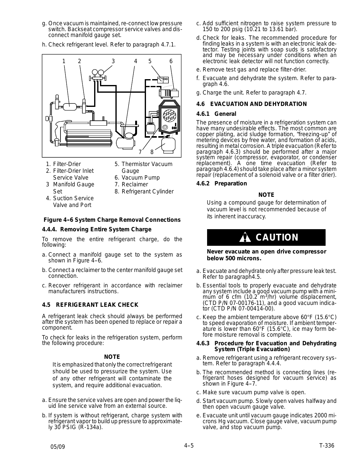- g. Once vacuum is maintained, re-connect low pressure switch. Backseat compressor service valves and disconnect manifold gauge set.
- h. Check refrigerant level. Refer to paragraph 4.7.1.



- 1. Filter-Drier
- 2. Filter-Drier Inlet Service Valve
- 3 Manifold Gauge Set
- 5. Thermistor Vacuum Gauge
- 6. Vacuum Pump
- 7. Reclaimer
	- 8. Refrigerant Cylinder
- 4. Suction Service Valve and Port
- 
- 

#### **Figure 4-6 System Charge Removal Connections**

#### **4.4.4. Removing Entire System Charge**

To remove the entire refrigerant charge, do the following:

- a. Connect a manifold gauge set to the system as shown in Figure 4-6.
- b. Connect a reclaimer to the center manifold gauge set connection.
- c. Recover refrigerant in accordance with reclaimer manufacturers instructions.

#### **4.5 REFRIGERANT LEAK CHECK**

A refrigerant leak check should always be performed after the system has been opened to replace or repair a component.

To check for leaks in the refrigeration system, perform the following procedure:

#### **NOTE**

It is emphasized that only the correct refrigerant should be used to pressurize the system. Use of any other refrigerant will contaminate the system, and require additional evacuation.

- a. Ensure the service valves are open and power the liquid line service valve from an external source.
- b. If system is without refrigerant, charge system with refrigerant vapor to build up pressure to approximately 30 PSIG (R-134a).
- c. Add sufficient nitrogen to raise system pressure to 150 to 200 psig (10.21 to 13.61 bar).
- d. Check for leaks. The recommended procedure for finding leaks in a system is with an electronic leak detector. Testing joints with soap suds is satisfactory and may be necessary under conditions when an electronic leak detector will not function correctly.
- e. Remove test gas and replace filter-drier.
- f. Evacuate and dehydrate the system. Refer to paragraph 4.6.
- g. Charge the unit. Refer to paragraph 4.7.

#### **4.6 EVACUATION AND DEHYDRATION**

#### **4.6.1 General**

The presence of moisture in a refrigeration system can have many undesirable effects. The most common are copper plating, acid sludge formation, "freezing-up" of metering devices by free water, and formation of acids, resulting in metal corrosion. A triple evacuation (Refer to paragraph 4.6.3) should be performed after a major system repair (compressor, evaporator, or condenser replacement). A one time evacuation (Refer to paragraph 4.6.4) should take place after a minor system repair (replacement of a solenoid valve or a filter drier).

#### **4.6.2 Preparation**

#### **NOTE**

Using a compound gauge for determination of vacuum level is not recommended because of its inherent inaccuracy.

## **CAUTION**

**Never evacuate an open drive compressor below 500 microns.**

- a. Evacuate and dehydrate only after pressure leak test. Refer to paragraph4.5.
- b. Essential tools to properly evacuate and dehydrate any system include a good vacuum pump with a minimum of 6 cfm *(*10.2 m3/hr) volume displacement, (CTD P/N 07-00176-11), and a good vacuum indicator (CTD P/N 07-00414-00).
- c. Keep the ambient temperature above 60°F *(*15.6°C) to speed evaporation of moisture. If ambient temperature is lower than 60°F (15.6°C), ice may form before moisture removal is complete.

#### **4.6.3 Procedure for Evacuation and Dehydrating System (Triple Evacuation)**

- a. Remove refrigerant using a refrigerant recovery system. Refer to paragraph 4.4.4.
- b. The recommended method is connecting lines (refrigerant hoses designed for vacuum service) as shown in Figure 4-7.
- c. Make sure vacuum pump valve is open.
- d. Start vacuum pump. Slowly open valves halfway and then open vacuum gauge valve.
- e. Evacuate unit until vacuum gauge indicates 2000 microns Hg vacuum. Close gauge valve, vacuum pump valve, and stop vacuum pump.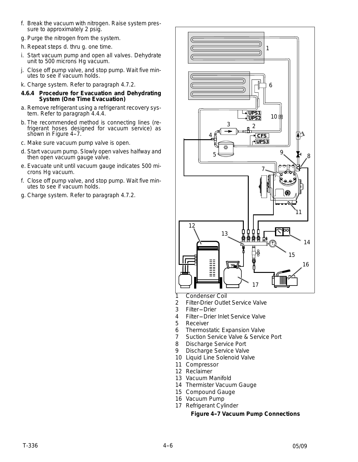- f. Break the vacuum with nitrogen. Raise system pressure to approximately 2 psig.
- g. Purge the nitrogen from the system.
- h. Repeat steps d. thru g. one time.
- i. Start vacuum pump and open all valves. Dehydrate unit to 500 microns Hg vacuum.
- j. Close off pump valve, and stop pump. Wait five minutes to see if vacuum holds.
- k. Charge system. Refer to paragraph 4.7.2.
- **4.6.4 Procedure for Evacuation and Dehydrating System (One Time Evacuation)**
- a. Remove refrigerant using a refrigerant recovery system. Refer to paragraph 4.4.4.
- b. The recommended method is connecting lines (refrigerant hoses designed for vacuum service) as shown in Figure 4-7.
- c. Make sure vacuum pump valve is open.
- d. Start vacuum pump. Slowly open valves halfway and then open vacuum gauge valve.
- e. Evacuate unit until vacuum gauge indicates 500 microns Hg vacuum.
- f. Close off pump valve, and stop pump. Wait five minutes to see if vacuum holds.
- g. Charge system. Refer to paragraph 4.7.2.



- 1 Condenser Coil
- 2 Filter-Drier Outlet Service Valve
- 3 Filter-Drier
- 4 Filter-Drier Inlet Service Valve
- 5 Receiver
- 6 Thermostatic Expansion Valve
- 7 Suction Service Valve & Service Port
- 8 Discharge Service Port
- 9 Discharge Service Valve
- 10 Liquid Line Solenoid Valve
- 11 Compressor
- 12 Reclaimer
- 13 Vacuum Manifold
- 14 Thermister Vacuum Gauge
- 15 Compound Gauge
- 16 Vacuum Pump
- 17 Refrigerant Cylinder

#### **Figure 4--7 Vacuum Pump Connections**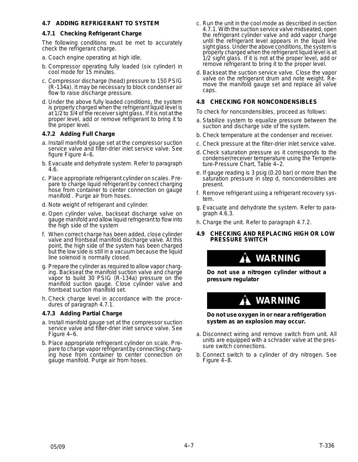#### **4.7 ADDING REFRIGERANT TO SYSTEM**

#### **4.7.1 Checking Refrigerant Charge**

The following conditions must be met to accurately check the refrigerant charge.

- a. Coach engine operating at high idle.
- b. Compressor operating fully loaded (six cylinder) in cool mode for 15 minutes.
- c. Compressor discharge (head) pressure to 150 PSIG (R-134a). It may be necessary to block condenser air flow to raise discharge pressure.
- d. Under the above fully loaded conditions, the system is properly charged when the refrigerant liquid level is at 1/2 to 3/4 of the receiver sight glass. If it is not at the proper level, add or remove refrigerant to bring it to the proper level.

#### **4.7.2 Adding Full Charge**

- a. Install manifold gauge set at the compressor suction service valve and filter-drier inlet service valve. See figure Figure 4-6.
- b. Evacuate and dehydrate system. Refer to paragraph 4.6.
- c. Place appropriate refrigerant cylinder on scales. Prepare to charge liquid refrigerant by connect charging hose from container to center connection on gauge manifold . Purge air from hoses.
- d. Note weight of refrigerant and cylinder.
- e. Open cylinder valve, backseat discharge valve on gauge manifold and allow liquid refrigerant to flow into the high side of the system
- f. When correct charge has been added, close cylinder valve and frontseat manifold discharge valve. At this point, the high side of the system has been charged but the low side is still in a vacuum because the liquid line solenoid is normally closed.
- g. Prepare the cylinder as required to allow vapor charging. Backseat the manifold suction valve and charge vapor to build 30 PSIG (R-134a) pressure on the manifold suction gauge. Close cylinder valve and frontseat suction manifold set.
- h. Check charge level in accordance with the procedures of paragraph 4.7.1.

#### **4.7.3 Adding Partial Charge**

- a. Install manifold gauge set at the compressor suction service valve and filter-drier inlet service valve. See Figure 4-6.
- b. Place appropriate refrigerant cylinder on scale. Prepare to charge vapor refrigerant by connecting charging hose from container to center connection on gauge manifold. Purge air from hoses.
- c. Run the unit in the cool mode as described in section 4.7.1. With the suction service valve midseated, open the refrigerant cylinder valve and add vapor charge until the refrigerant level appears in the liquid line sight glass. Under the above conditions, the system is properly charged when the refrigerant liquid level is at 1/2 sight glass. If it is not at the proper level, add or remove refrigerant to bring it to the proper level.
- d. Backseat the suction service valve. Close the vapor valve on the refrigerant drum and note weight. Remove the manifold gauge set and replace all valve caps.

#### **4.8 CHECKING FOR NONCONDENSIBLES**

To check for noncondensibles, proceed as follows:

- a. Stabilize system to equalize pressure between the suction and discharge side of the system.
- b. Check temperature at the condenser and receiver.
- c. Check pressure at the filter-drier inlet service valve.
- d. Check saturation pressure as it corresponds to the condenser/receiver temperature using the Temperature-Pressure Chart, Table 4-2.
- e. If gauge reading is 3 psig *(0.20 bar)* or more than the saturation pressure in step d, noncondensibles are present.
- f. Remove refrigerant using a refrigerant recovery system.
- g. Evacuate and dehydrate the system. Refer to paragraph 4.6.3.
- h. Charge the unit. Refer to paragraph 4.7.2.
- **4.9 CHECKING AND REPLACING HIGH OR LOW PRESSURE SWITCH**

### **WARNING**

**Do not use a nitrogen cylinder without a pressure regulator**

# **WARNING**

**Do not use oxygen in or near a refrigeration system as an explosion may occur.**

- a. Disconnect wiring and remove switch from unit. All units are equipped with a schrader valve at the pressure switch connections.
- b. Connect switch to a cylinder of dry nitrogen. See Figure 4-8.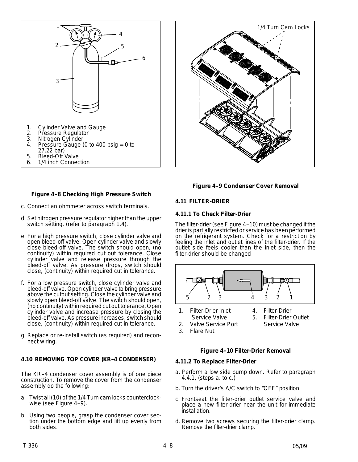





#### **Figure 4-8 Checking High Pressure Switch**

- c. Connect an ohmmeter across switch terminals.
- d. Set nitrogen pressure regulator higher than the upper switch setting. (refer to paragraph 1.4).
- e. For a high pressure switch, close cylinder valve and open bleed-off valve. Open cylinder valve and slowly close bleed-off valve. The switch should open, (no continuity) within required cut out tolerance. Close cylinder valve and release pressure through the bleed-off valve. As pressure drops, switch should close, (continuity) within required cut in tolerance.
- f. For a low pressure switch, close cylinder valve and bleed-off valve. Open cylinder valve to bring pressure above the cutout setting. Close the cylinder valve and slowly open bleed-off valve. The switch should open, (no continuity) within required cut out tolerance. Open cylinder valve and increase pressure by closing the bleed-off valve. As pressure increases, switch should close, (continuity) within required cut in tolerance.
- g. Replace or re-install switch (as required) and reconnect wiring.

#### **4.10 REMOVING TOP COVER (KR--4 CONDENSER)**

The KR--4 condenser cover assembly is of one piece construction. To remove the cover from the condenser assembly do the following:

- a. Twist all (10) of the 1/4 Turn cam locks counterclockwise (see Figure 4-9).
- b. Using two people, grasp the condenser cover section under the bottom edge and lift up evenly from both sides.

### **Figure 4-9 Condenser Cover Removal**

#### **4.11 FILTER-DRIER**

#### **4.11.1 To Check Filter-Drier**

The filter-drier (see Figure 4-10) must be changed if the drier is partially restricted or service has been performed on the refrigerant system. Check for a restriction by feeling the inlet and outlet lines of the filter-drier. If the outlet side feels cooler than the inlet side, then the filter-drier should be changed



- 1. Filter-Drier Inlet Service Valve
- 4. Filter-Drier 5. Filter-Drier Outlet Service Valve
- 2. Valve Service Port 3. Flare Nut

#### **Figure 4--10 Filter-Drier Removal**

#### **4.11.2 To Replace Filter-Drier**

- a. Perform a low side pump down. Refer to paragraph 4.4.1, (steps a. to c.)
- b. Turn the driver's A/C switch to "OFF" position.
- c. Frontseat the filter-drier outlet service valve and place a new filter-drier near the unit for immediate installation.
- d. Remove two screws securing the filter-drier clamp. Remove the filter-drier clamp.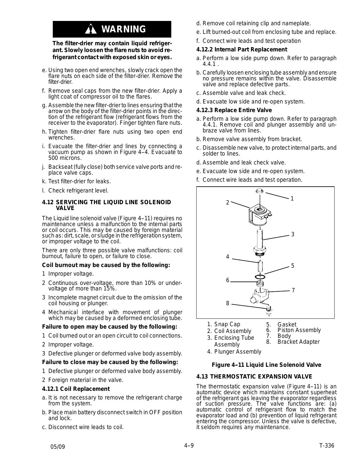# **WARNING**

#### **The filter-drier may contain liquid refrigerant. Slowly loosen the flare nuts to avoid refrigerant contact with exposed skin or eyes.**

- e. Using two open end wrenches, slowly crack open the flare nuts on each side of the filter-drier. Remove the filter-drier.
- f. Remove seal caps from the new filter-drier. Apply a light coat of compressor oil to the flares.
- g. Assemble the new filter-drier to lines ensuring that the arrow on the body of the filter-drier points in the direction of the refrigerant flow (refrigerant flows from the receiver to the evaporator). Finger tighten flare nuts.
- h. Tighten filter-drier flare nuts using two open end wrenches.
- i. Evacuate the filter-drier and lines by connecting a vacuum pump as shown in Figure 4-4. Evacuate to 500 microns.
- j. Backseat (fully close) both service valve ports and replace valve caps.
- k. Test filter-drier for leaks.
- l. Check refrigerant level.

#### **4.12 SERVICING THE LIQUID LINE SOLENOID VALVE**

The Liquid line solenoid valve (Figure 4-11) requires no maintenance unless a malfunction to the internal parts or coil occurs. This may be caused by foreign material such as: dirt, scale, or sludge inthe refrigeration system, or improper voltage to the coil.

There are only three possible valve malfunctions: coil burnout, failure to open, or failure to close.

#### **Coil burnout may be caused by the following:**

- 1 Improper voltage.
- 2 Continuous over-voltage, more than 10% or undervoltage of more than 15%.
- 3 Incomplete magnet circuit due to the omission of the coil housing or plunger.
- 4 Mechanical interface with movement of plunger which may be caused by a deformed enclosing tube.

#### **Failure to open may be caused by the following:**

- 1 Coil burned out or an open circuit to coil connections.
- 2 Improper voltage.
- 3 Defective plunger or deformed valve body assembly.

#### **Failure to close may be caused by the following:**

- 1 Defective plunger or deformed valve body assembly.
- 2 Foreign material in the valve.

#### **4.12.1 Coil Replacement**

- a. It is not necessary to remove the refrigerant charge from the system.
- b. Place main battery disconnect switch in OFF position and lock.
- c. Disconnect wire leads to coil.
- d. Remove coil retaining clip and nameplate.
- e. Lift burned-out coil from enclosing tube and replace.
- f. Connect wire leads and test operation

#### **4.12.2 Internal Part Replacement**

- a. Perform a low side pump down. Refer to paragraph 4.4.1 .
- b. Carefully loosen enclosing tube assembly and ensure no pressure remains within the valve. Disassemble valve and replace defective parts.
- c. Assemble valve and leak check.
- d. Evacuate low side and re-open system.

#### **4.12.3 Replace Entire Valve**

- a. Perform a low side pump down. Refer to paragraph 4.4.1. Remove coil and plunger assembly and unbraze valve from lines.
- b. Remove valve assembly from bracket.
- c. Disassemble new valve, to protect internal parts, and solder to lines.
- d. Assemble and leak check valve.
- e. Evacuate low side and re-open system.
- f. Connect wire leads and test operation.



- 1. Snap Cap 5. Gasket<br>6. Piston
	- 6. Piston Assembly<br>7. Body
- 3. Enclosing Tube Assembly **Body** 8. Bracket Adapter
- 4. Plunger Assembly

2. Coil Assembly

#### **Figure 4--11 Liquid Line Solenoid Valve**

#### **4.13 THERMOSTATIC EXPANSION VALVE**

The thermostatic expansion valve (Figure 4-11) is an automatic device which maintains constant superheat of the refrigerant gas leaving the evaporator regardless of suction pressure. The valve functions are: (a) automatic control of refrigerant flow to match the evaporator load and (b) prevention of liquid refrigerant entering the compressor. Unless the valve is defective, it seldom requires any maintenance.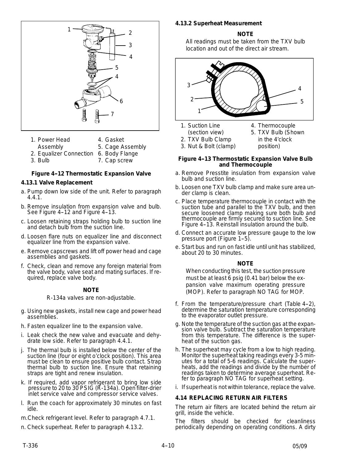

- 1. Power Head
- 4. Gasket
- Assembly 5. Cage Assembly
- 2. Equalizer Connection 6. Body Flange
- 3. Bulb 7. Cap screw

#### **Figure 4-12 Thermostatic Expansion Valve**

#### **4.13.1 Valve Replacement**

- a. Pump down low side of the unit. Refer to paragraph 4.4.1.
- b. Remove insulation from expansion valve and bulb. See Figure 4-12 and Figure 4-13.
- c. Loosen retaining straps holding bulb to suction line and detach bulb from the suction line.
- d. Loosen flare nuts on equalizer line and disconnect equalizer line from the expansion valve.
- e. Remove capscrews and lift off power head and cage assemblies and gaskets.
- f. Check, clean and remove any foreign material from the valve body, valve seat and mating surfaces. If required, replace valve body.

#### **NOTE**

R-134a valves are non-adjustable.

- g. Using new gaskets, install new cage and power head assemblies.
- h. Fasten equalizer line to the expansion valve.
- i. Leak check the new valve and evacuate and dehydrate low side. Refer to paragraph 4.4.1.
- j. The thermal bulb is installed below the center of the suction line (four or eight o'clock position). This area must be clean to ensure positive bulb contact. Strap thermal bulb to suction line. Ensure that retaining straps are tight and renew insulation.
- k. If required, add vapor refrigerant to bring low side pressure to 20 to 30 PSIG (R-134a). Open filter-drier inlet service valve and compressor service valves.
- l. Run the coach for approximately 30 minutes on fast idle.
- m.Check refrigerant level. Refer to paragraph 4.7.1.
- n. Check superheat. Refer to paragraph 4.13.2.

#### **4.13.2 Superheat Measurement**

#### **NOTE**

All readings must be taken from the TXV bulb location and out of the direct air stream.



- 1. Suction Line
- 4. Thermocouple
- (section view) 2. TXV Bulb Clamp
- 5. TXV Bulb (Shown in the 4'clock
- 3. Nut & Bolt (clamp)
	- position)

#### **Figure 4-13 Thermostatic Expansion Valve Bulb and Thermocouple**

- a. Remove Presstite insulation from expansion valve bulb and suction line.
- b. Loosen one TXV bulb clamp and make sure area under clamp is clean.
- c. Place temperature thermocouple in contact with the suction tube and parallel to the TXV bulb, and then secure loosened clamp making sure both bulb and thermocouple are firmly secured to suction line. See Figure 4-13. Reinstall insulation around the bulb.
- d. Connect an accurate low pressure gauge to the low pressure port (Figure 1-5).
- e. Start bus and run on fast idle until unit has stabilized, about 20 to 30 minutes.

#### **NOTE**

When conducting this test, the suction pressure must be at least 6 psig *(0.41 bar)* below the expansion valve maximum operating pressure (MOP). Refer to paragraph NO TAG for MOP.

- f. From the temperature/pressure chart (Table  $4-2$ ), determine the saturation temperature corresponding to the evaporator outlet pressure.
- g. Note the temperature of the suction gas at the expansion valve bulb. Subtract the saturation temperature from this temperature. The difference is the superheat of the suction gas.
- h. The superheat may cycle from a low to high reading. Monitor the superheat taking readings every 3-5 minutes for a total of 5-6 readings. Calculate the superheats, add the readings and divide by the number of readings taken to determine average superheat. Refer to paragraph NO TAG for superheat setting.
- i. If superheat is not within tolerance, replace the valve.

#### **4.14 REPLACING RETURN AIR FILTERS**

The return air filters are located behind the return air grill, inside the vehicle.

The filters should be checked for cleanliness periodically depending on operating conditions. A dirty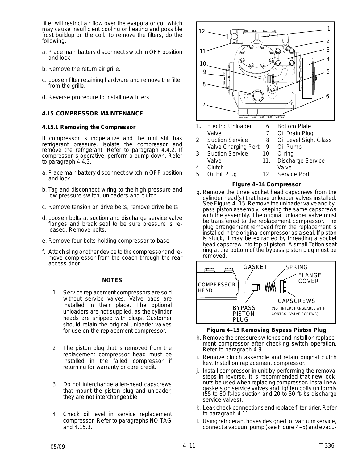filter will restrict air flow over the evaporator coil which may cause insufficient cooling or heating and possible frost buildup on the coil. To remove the filters, do the following.

- a. Place main battery disconnect switch in OFF position and lock.
- b. Remove the return air grille.
- c. Loosen filter retaining hardware and remove the filter from the grille.
- d. Reverse procedure to install new filters.

#### **4.15 COMPRESSOR MAINTENANCE**

#### **4.15.1 Removing the Compressor**

If compressor is inoperative and the unit still has refrigerant pressure, isolate the compressor and remove the refrigerant. Refer to paragraph 4.4.2. If compressor is operative, perform a pump down. Refer to paragraph 4.4.3.

- a. Place main battery disconnect switch in OFF position and lock.
- b. Tag and disconnect wiring to the high pressure and low pressure switch, unloaders and clutch.
- c. Remove tension on drive belts, remove drive belts.
- d. Loosen bolts at suction and discharge service valve flanges and break seal to be sure pressure is released. Remove bolts.
- e. Remove four bolts holding compressor to base
- f. Attach sling or other device to the compressor and remove compressor from the coach through the rear access door.

#### **NOTES**

- Service replacement compressors are sold without service valves. Valve pads are installed in their place. The optional unloaders are not supplied, as the cylinder heads are shipped with plugs. Customer should retain the original unloader valves for use on the replacement compressor.
- 2 The piston plug that is removed from the replacement compressor head must be installed in the failed compressor if returning for warranty or core credit.
- 3 Do not interchange allen-head capscrews that mount the piston plug and unloader, they are not interchangeable.
- Check oil level in service replacement compressor. Refer to paragraphs NO TAG and 4.15.3.



- 1**.** Electric Unloader Valve
	- 6. Bottom Plate

10. O-ring

7. Oil Drain Plug 8. Oil Level Sight Glass

11. Discharge Service Valve

- 2. Suction Service Valve Charging Port 9. Oil Pump
- 3. Suction Service
	-
- Valve 4. Clutch
- 5. Oil Fill Plug 12. Service Port

#### **Figure 4--14 Compressor**

g. Remove the three socket head capscrews from the cylinder head(s) that have unloader valves installed. See Figure 4-15. Remove the unloader valve and bypass piston assembly, keeping the same capscrews with the assembly. The original unloader valve must be transferred to the replacement compressor. The plug arrangement removed from the replacement is installed in the original compressor as a seal. If piston is stuck, it may be extracted by threading a socket head capscrew into top of piston. A small Teflon seat ring at the bottom of the bypass piston plug must be removed.



#### **Figure 4--15 Removing Bypass Piston Plug**

- h. Remove the pressure switches and install on replacement compressor after checking switch operation. Refer to paragraph 4.9.
- i. Remove clutch assemble and retain original clutch key. Install on replacement compressor.
- j. Install compressor in unit by performing the removal steps in reverse. It is recommended that new locknuts be used when replacing compressor. Install new gaskets on service valves and tighten bolts uniformly (55 to 80 ft-lbs suction and 20 to 30 ft-lbs discharge service valves).
- k. Leak check connections and replace filter-drier. Refer to paragraph 4.11.
- l. Using refrigerant hoses designed for vacuum service, connect a vacuum pump (see Figure 4-5) and evacu-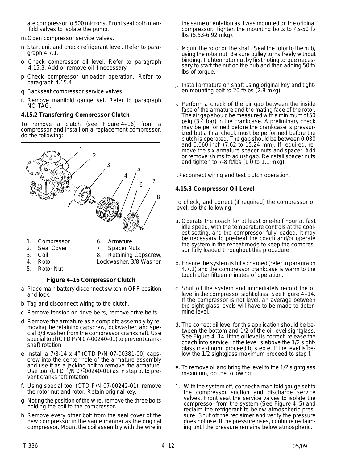ate compressor to 500 microns. Front seat both manifold valves to isolate the pump.

m.Open compressor service valves.

- n. Start unit and check refrigerant level. Refer to paragraph 4.7.1.
- o. Check compressor oil level. Refer to paragraph 4.15.3. Add or remove oil if necessary.
- p. Check compressor unloader operation. Refer to paragraph 4.15.4
- q. Backseat compressor service valves.
- r. Remove manifold gauge set. Refer to paragraph NO TAG.

#### **4.15.2 Transferring Compressor Clutch**

To remove a clutch (see Figure 4-16) from a compressor and install on a replacement compressor, do the following:



- 1. Compressor
- 6. Armature
- 2. Seal Cover
- 7 Spacer Nuts 8. Retaining Capscrew,
- 3. Coil 4. Rotor
	- - Lockwasher, 3/8 Washer
- 5. Rotor Nut

#### **Figure 4-16 Compressor Clutch**

- a. Place main battery disconnect switch in OFF position and lock.
- b. Tag and disconnect wiring to the clutch.
- c. Remove tension on drive belts, remove drive belts.
- d. Remove the armature as a complete assembly by removing the retaining capscrew, lockwasher, and special 3/8 washer from the compressor crankshaft. Use special tool (CTD P/N 07-00240-01) to prevent crankshaft rotation.
- e. Install a 7/8-14 x 4" (CTD P/N 07-00381-00) capscrew into the center hole of the armature assembly and use it as a jacking bolt to remove the armature. Use tool (CTD  $\overline{P/N}$  07-00240-01) as in step a. to prevent crankshaft rotation.
- f. Using special tool (CTD P/N 07-00242-01), remove the rotor nut and rotor. Retain original key.
- g. Noting the position of the wire, remove the three bolts holding the coil to the compressor.
- h. Remove every other bolt from the seal cover of the new compressor in the same manner as the original compressor. Mount the coil assembly with the wire in

the same orientation as it was mounted on the original compressor. Tighten the mounting bolts to 45-50 ft/ lbs (5.53-6.92 mkg).

- i. Mount the rotor on the shaft. Seat the rotor to the hub, using the rotor nut. Be sure pulley turns freely without binding. Tighten rotor nut by first noting torque necessary to start the nut on the hub and then adding 50 ft/ lbs of torque.
- j. Install armature on shaft using original key and tighten mounting bolt to 20 ft/lbs (2.8 mkg).
- k. Perform a check of the air gap between the inside face of the armature and the mating face of the rotor. The air gap should be measured with aminimum of 50 psig (3.4 bar) in the crankcase. A preliminary check may be performed before the crankcase is pressurized but a final check must be performed before the clutch is operated. The gap should be between 0.030 and 0.060 inch (7.62 to 15.24 mm). If required, remove the six armature spacer nuts and spacer. Add or remove shims to adjust gap. Reinstall spacer nuts and tighten to  $7-8$  ft/lbs  $(1.\overline{0})$  to  $1,1$  mkg).

l.Reconnect wiring and test clutch operation.

#### **4.15.3 Compressor Oil Level**

To check, and correct (if required) the compressor oil level, do the following:

- a. Operate the coach for at least one-half hour at fast idle speed, with the temperature controls at the coolest setting, and the compressor fully loaded. It may be necessary to pre-heat the coach and/or operate the system in the reheat mode to keep the compressor fully loaded throughout this procedure
- b. Ensure the system is fully charged (refer to paragraph 4.7.1) and the compressor crankcase is warm to the touch after fifteen minutes of operation.
- c. Shut off the system and immediately record the oil level in the compressor sight glass. See Figure 4-14. If the compressor is not level, an average between the sight glass levels will have to be made to determine level.
- d. The correct oil level for this application should be between the bottom and 1/2 of the oil level sightglass. See Figure 4-14. If the oil level is correct, release the coach into service. If the level is above the 1/2 sightglass maximum, proceed to step e. If the level is below the 1/2 sightglass maximum proceed to step f.
- e. To remove oil and bring the level to the 1/2 sightglass maximum, do the following:
- 1. With the system off, connect a manifold gauge set to the compressor suction and discharge service valves. Front seat the service valves to isolate the compressor from the system (See Figure 4-5) and reclaim the refrigerant to below atmospheric pressure. Shut off the reclaimer and verify the pressure does not rise. If the pressure rises, continue reclaiming until the pressure remains below atmospheric.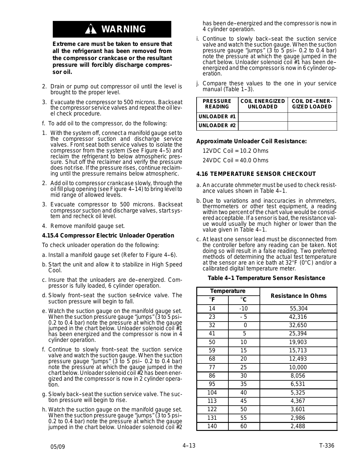# **WARNING**

**Extreme care must be taken to ensure that all the refrigerant has been removed from the compressor crankcase or the resultant pressure will forcibly discharge compressor oil.**

- 2. Drain or pump out compressor oil until the level is brought to the proper level.
- 3. Evacuate the compressor to 500 microns. Backseat the compressor service valves and repeat the oil level check procedure.
- f. To add oil to the compressor, do the following:
- 1. With the system off, connect a manifold gauge set to the compressor suction and discharge service valves. Front seat both service valves to isolate the compressor from the system (See Figure 4-5) and reclaim the refrigerant to below atmospheric pressure. Shut off the reclaimer and verify the pressure does not rise. If the pressure rises, continue reclaiming until the pressure remains below atmospheric.
- 2. Add oil to compressor crankcase slowly, through the oil fill plug opening (see Figure 4-14) to bring level to mid range of allowed levels.
- 3. Evacuate compressor to 500 microns. Backseat compressor suction and discharge valves, start system and recheck oil level.
- 4. Remove manifold gauge set.

#### **4.15.4 Compressor Electric Unloader Operation**

To check unloader operation do the following:

- a. Install a manifold gauge set (Refer to Figure 4-6).
- b. Start the unit and allow it to stabilize in High Speed Cool.
- c. Insure that the unloaders are de-energized. Compressor is fully loaded, 6 cylinder operation.
- d. Slowly front-seat the suction se4rvice valve. The suction pressure will begin to fall.
- e. Watch the suction gauge on the manifold gauge set. When the suction pressure gauge "jumps" (3 to 5 psi-- 0.2 to 0.4 bar) note the pressure at which the gauge jumped in the chart below. Unloader solenoid coil  $#1$ has been energized and the compressor is now in 4 cylinder operation.
- f. Continue to slowly front-seat the suction service valve and watch the suction gauge. When the suction pressure gauge "jumps" (3 to 5 psi-- 0.2 to 0.4 bar) note the pressure at which the gauge jumped in the chart below. Unloader solenoid coil #2 has been energized and the compressor is now in 2 cylinder operation.
- g. Slowly back--seat the suction service valve. The suction pressure will begin to rise.
- h. Watch the suction gauge on the manifold gauge set. When the suction pressure gauge "jumps" (3 to 5 psi-- 0.2 to 0.4 bar) note the pressure at which the gauge jumped in the chart below. Unloader solenoid coil #2

has been de-energized and the compressor is now in 4 cylinder operation.

- i. Continue to slowly back-seat the suction service valve and watch the suction gauge. When the suction pressure gauge "jumps"  $(3 \text{ to } 5 \text{ psi} - 0.2 \text{ to } 0.4 \text{ bar})$ note the pressure at which the gauge jumped in the chart below. Unloader solenoid coil #1 has been de- energized and the compressor is now in 6 cylinder operation.
- j. Compare these values to the one in your service manual (Table 1-3).

| <b>PRESSURE</b><br><b>READING</b> | <b>COIL ENERGIZED</b><br><b>UNLOADED</b> | <b>COIL DE-ENER-</b><br><b>GIZED LOADED</b> |
|-----------------------------------|------------------------------------------|---------------------------------------------|
| l UNLOADER #1                     |                                          |                                             |
| <b>I UNLOADER #2</b>              |                                          |                                             |

#### **Approximate Unloader Coil Resistance:**

12VDC Coil = 10.2 Ohms

 $24VDC$  Coil =  $40.0$  Ohms

#### **4.16 TEMPERATURE SENSOR CHECKOUT**

- a. An accurate ohmmeter must be used to check resistance values shown in Table 4-1.
- b. Due to variations and inaccuracies in ohmmeters, thermometers or other test equipment, a reading within two percent of the chart value would be considered acceptable. If a sensor is bad, the resistance value would usually be much higher or lower than the value given in Table 4-1.
- c. At least one sensor lead must be disconnected from the controller before any reading can be taken. Not doing so will result in a false reading. Two preferred methods of determining the actual test temperature at the sensor are an ice bath at 32°F (0°C) and/or a calibrated digital temperature meter.

#### **Table 4--1 Temperature Sensor Resistance**

| <b>Temperature</b> |              |                           |  |
|--------------------|--------------|---------------------------|--|
| $^{\circ}$ F       | $^{\circ}$ C | <b>Resistance In Ohms</b> |  |
| 14                 | $-10$        | 55,304                    |  |
| 23                 | $-5$         | 42,316                    |  |
| 32                 | 0            | 32,650                    |  |
| 41                 | 5            | 25,394                    |  |
| 50                 | 10           | 19,903                    |  |
| 59                 | 15           | 15,713                    |  |
| 68                 | 20           | 12,493                    |  |
| 77                 | 25           | 10,000                    |  |
| 86                 | 30           | 8,056                     |  |
| 95                 | 35           | 6,531                     |  |
| 104                | 40           | 5,325                     |  |
| 113                | 45           | 4,367                     |  |
| 122                | 50           | 3,601                     |  |
| 131                | 55           | 2,986                     |  |
| 140                | 60           | 2,488                     |  |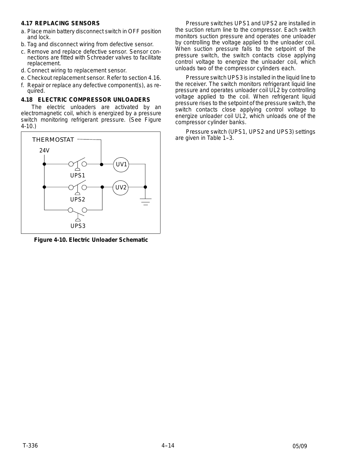#### **4.17 REPLACING SENSORS**

- a. Place main battery disconnect switch in OFF position and lock.
- b. Tag and disconnect wiring from defective sensor.
- c. Remove and replace defective sensor. Sensor connections are fitted with Schreader valves to facilitate replacement.
- d. Connect wiring to replacement sensor.
- e. Checkout replacement sensor. Refer to section 4.16.
- f. Repair or replace any defective component(s), as required.

#### **4.18 ELECTRIC COMPRESSOR UNLOADERS**

The electric unloaders are activated by an electromagnetic coil, which is energized by a pressure switch monitoring refrigerant pressure. (See Figure 4-10.)



**Figure 4-10. Electric Unloader Schematic**

Pressure switches UPS1 and UPS2 are installed in the suction return line to the compressor. Each switch monitors suction pressure and operates one unloader by controlling the voltage applied to the unloader coil. When suction pressure falls to the setpoint of the pressure switch, the switch contacts close applying control voltage to energize the unloader coil, which unloads two of the compressor cylinders each.

Pressure switch UPS3 is installed in the liquid line to the receiver. The switch monitors refrigerant liquid line pressure and operates unloader coil UL2 by controlling voltage applied to the coil. When refrigerant liquid pressure rises to the setpoint of the pressure switch, the switch contacts close applying control voltage to energize unloader coil UL2, which unloads one of the compressor cylinder banks.

Pressure switch (UPS1, UPS2 and UPS3) settings are given in Table 1-3.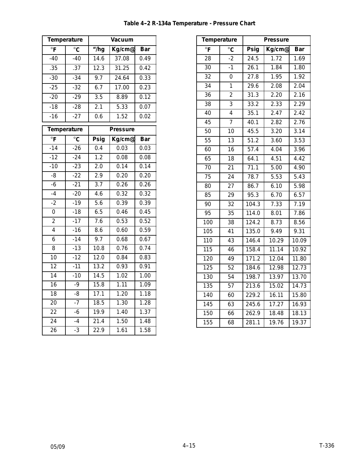| <b>Temperature</b>        |                       | Vacuum            |                    |                   |
|---------------------------|-----------------------|-------------------|--------------------|-------------------|
| $\overline{\overline{F}}$ | $^{\circ}$ C          | "/hg              | Kg/cme             | <b>Bar</b>        |
| $-40$                     | $-40$                 | $\overline{14.6}$ | 37.08              | 0.49              |
| .35                       | .37                   | 12.3              | $31.\overline{25}$ | 0.42              |
| $-30$                     | $-34$                 | 9.7               | 24.64              | 0.33              |
| $-25$                     | $-32$                 | 6.7               | 17.00              | 0.23              |
| $-20$                     | $-29$                 | 3.5               | 8.89               | 0.12              |
| $-18$                     | $-28$                 | 2.1               | 5.33               | 0.07              |
| $-16$                     | $-27$                 | 0.6               | 1.52               | 0.02              |
| <b>Temperature</b>        |                       | <b>Pressure</b>   |                    |                   |
| $^{\circ}$ F              | $\overline{\text{c}}$ | Psig              | Kg/cme             | Bar               |
| $-14$                     | $-26$                 | 0.4               | 0.03               | 0.03              |
| $-12$                     | $-24$                 | 1.2               | 0.08               | 0.08              |
| $-10$                     | $-23$                 | $\overline{2.0}$  | 0.14               | $\overline{0.14}$ |
| $-8$                      | $-22$                 | $\overline{2.9}$  | 0.20               | 0.20              |
| $-\overline{6}$           | $-21$                 | $\overline{3.7}$  | 0.26               | 0.26              |
| $-4$                      | $-20$                 | 4.6               | 0.32               | 0.32              |
| $-2$                      | $-19$                 | $\overline{5.6}$  | 0.39               | 0.39              |
| $\overline{0}$            | $-18$                 | $6.\overline{5}$  | 0.46               | 0.45              |
| $\overline{c}$            | $-17$                 | 7.6               | 0.53               | 0.52              |
| $\overline{4}$            | $-16$                 | 8.6               | 0.60               | 0.59              |
| 6                         | $-14$                 | 9.7               | 0.68               | 0.67              |
| $\overline{8}$            | $-13$                 | 10.8              | 0.76               | 0.74              |
| 10                        | $-12$                 | 12.0              | 0.84               | 0.83              |
| $\overline{12}$           | $-11$                 | 13.2              | 0.93               | 0.91              |
| $\overline{14}$           | $-10$                 | 14.5              | 1.02               | 1.00              |
| $\overline{16}$           | -9                    | 15.8              | 1.11               | 1.09              |
| $\overline{18}$           | -8                    | 17.1              | 1.20               | 1.18              |
| 20                        | $-7$                  | 18.5              | 1.30               | 1.28              |
| 22                        | $-6$                  | 19.9              | 1.40               | 1.37              |
| $\overline{24}$           | $-4$                  | 21.4              | 1.50               | 1.48              |
| 26                        | $-3$                  | 22.9              | 1.61               | 1.58              |

| <b>Temperature</b>      |                 | <b>Pressure</b>    |                    |            |
|-------------------------|-----------------|--------------------|--------------------|------------|
| $\overline{\mathsf{F}}$ | $^{\circ}$ C    | Psig               | Kg/cme             | <b>Bar</b> |
| 28                      | $-2$            | $\overline{2}$ 4.5 | 1.72               | 1.69       |
| 30                      | $-1$            | 26.1               | 1.84               | 1.80       |
| 32                      | 0               | 27.8               | 1.95               | 1.92       |
| $\overline{34}$         | $\overline{1}$  | 29.6               | 2.08               | 2.04       |
| 36                      | $\overline{2}$  | 31.3               | 2.20               | 2.16       |
| 38                      | 3               | 33.2               | 2.33               | 2.29       |
| 40                      | $\overline{4}$  | 35.1               | 2.47               | 2.42       |
| 45                      | $\overline{7}$  | 40.1               | 2.82               | 2.76       |
| 50                      | 10              | 45.5               | 3.20               | 3.14       |
| 55                      | 13              | 51.2               | 3.60               | 3.53       |
| 60                      | 16              | 57.4               | 4.04               | 3.96       |
| 65                      | 18              | 64.1               | 4.51               | 4.42       |
| 70                      | 21              | 71.1               | 5.00               | 4.90       |
| 75                      | 24              | 78.7               | 5.53               | 5.43       |
| 80                      | 27              | 86.7               | 6.10               | 5.98       |
| $\overline{85}$         | 29              | 95.3               | 6.70               | 6.57       |
| 90                      | 32              | 104.3              | 7.33               | 7.19       |
| 95                      | 35              | 114.0              | 8.01               | 7.86       |
| 100                     | 38              | 124.2              | 8.73               | 8.56       |
| 105                     | 41              | 135.0              | 9.49               | 9.31       |
| 110                     | 43              | 146.4              | 10.29              | 10.09      |
| $\overline{115}$        | 46              | 158.4              | 11.14              | 10.92      |
| 120                     | 49              | 171.2              | 12.04              | 11.80      |
| $\overline{125}$        | $\overline{52}$ | 184.6              | 12.98              | 12.73      |
| 130                     | 54              | 198.7              | 13.97              | 13.70      |
| 135                     | 57              | 213.6              | 15.02              | 14.73      |
| 140                     | 60              | 229.2              | 16.11              | 15.80      |
| 145                     | 63              | 245.6              | $17.\overline{27}$ | 16.93      |
| 150                     | 66              | 262.9              | 18.48              | 18.13      |
| 155                     | 68              | 281.1              | 19.76              | 19.37      |

#### Table 4-2 R-134a Temperature - Pressure Chart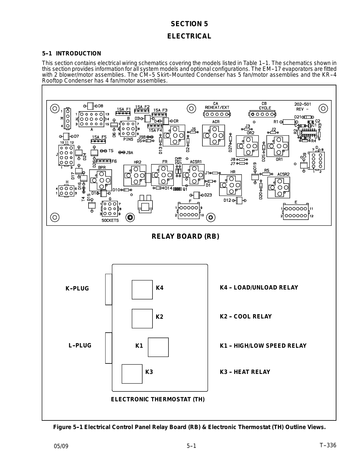#### **SECTION 5**

#### **ELECTRICAL**

#### **5--1 INTRODUCTION**

This section contains electrical wiring schematics covering the models listed in Table 1-1. The schematics shown in this section provides information for all system models and optional configurations. The EM--17 evaporators are fitted with 2 blower/motor assemblies. The CM-5 Skirt-Mounted Condenser has 5 fan/motor assemblies and the KR-4 Rooftop Condenser has 4 fan/motor assemblies.



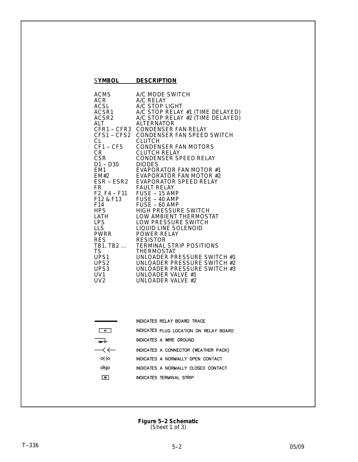| <b>SYMBOL</b>                                                                                                                                                                                                                                                                                   | <b>DESCRIPTION</b>                                                                                                                                                                                                                                                                                                                                                                                                                                                                                                                                                                                                                                                                                                                                                                                                                                                                                               |
|-------------------------------------------------------------------------------------------------------------------------------------------------------------------------------------------------------------------------------------------------------------------------------------------------|------------------------------------------------------------------------------------------------------------------------------------------------------------------------------------------------------------------------------------------------------------------------------------------------------------------------------------------------------------------------------------------------------------------------------------------------------------------------------------------------------------------------------------------------------------------------------------------------------------------------------------------------------------------------------------------------------------------------------------------------------------------------------------------------------------------------------------------------------------------------------------------------------------------|
| <b>ACMS</b><br>ACR.<br><b>ACSL</b><br>ACSR1<br>ACSR2<br>ALT<br>CFR1 - CFR3<br>CFS1 - CFS2<br>СL<br>CF1 - CF5<br>CR<br><b>CSR</b><br>D1 - D30<br>EM <sub>1</sub><br><b>EM#2</b><br>ESR - ESR2<br>FR.<br>F14<br>HPS.<br>LATH<br><b>LPS</b><br><b>LLS</b><br>LLS<br>PWRR<br><b>RES</b><br>TB1, TB2 | A/C MODE SWITCH<br>A/C RELAY<br>A/C STOP LIGHT<br>A/C STOP RELAY #1 (TIME DELAYED)<br>A/C STOP RELAY #2 (TIME DELAYED)<br><b>ALTERNATOR</b><br><b>CONDENSER FAN RELAY</b><br>CONDENSER FAN SPEED SWITCH<br><b>CLUTCH</b><br><b>CONDENSER FAN MOTORS</b><br><b>CLUTCH RELAY</b><br>CONDENSER SPEED RELAY<br><b>DIODES</b><br>EVAPORATOR FAN MOTOR #1<br><b>EVAPORATOR FAN MOTOR #2</b><br><b>EVAPORATOR SPEED RELAY</b><br><b>FAULT RELAY</b><br>F2, F4 - F11    FUSE - 15 AMP<br>F12 & F13    FUSE - 40 AMP<br>FUSE - 60 AMP<br><b>HIGH PRESSURE SWITCH</b><br>LOW AMBIENT THERMOSTAT<br>LOW PRESSURE SWITCH<br>LIQUID LINE SOLENOID<br><b>POWER RELAY</b><br><b>RESISTOR</b><br><b>TERMINAL STRIP POSITIONS</b><br>TS<br>TS<br>UPS1<br>UPS2<br>UNLOADER PRESSURE SWITCH #2<br>UPS3<br>UNLOADER PRESSURE SWITCH #3<br>UNLOADER PRESSURE SWITCH #3<br>UNLOADER VALVE #1<br>UNLOADER VALVE #1<br>UNLOADER VALVE #2 |

|                                    | INDICATES RELAY BOARD TRACE            |
|------------------------------------|----------------------------------------|
|                                    | INDICATES PLUG LOCATION ON RELAY BOARD |
|                                    | INDICATES A WRE GROUND                 |
| $\longrightarrow$ $\longleftarrow$ | INDICATES A CONNECTOR (WEATHER PACK)   |
| 하                                  | INDICATES A NORMALLY OPEN CONTACT      |
| oNo                                | INDICATES A NORMALLY CLOSED CONTACT    |
| 18                                 | INDICATES TERMINAL STRIP               |
|                                    |                                        |

**Figure 5-2 Schematic** (Sheet 1 of 3)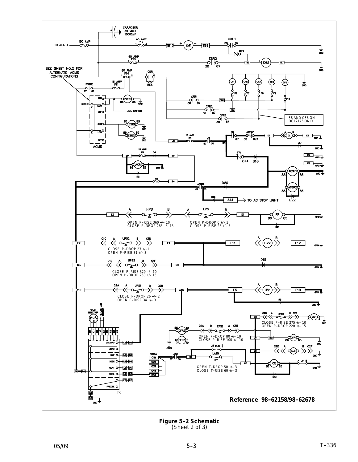

**Figure 5-2 Schematic** (Sheet 2 of 3)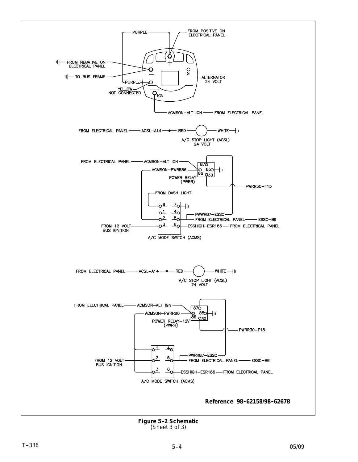

**Figure 5--2 Schematic** (Sheet 3 of 3)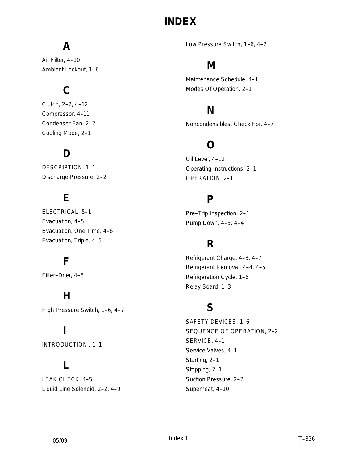# **INDEX**

# **A**

Air Filter, 4-10 Ambient Lockout, 1-6

# **C**

Clutch, 2-2, 4-12 Compressor, 4-11 Condenser Fan, 2-2 Cooling Mode, 2-1

### **D**

DESCRIPTION, 1-1 Discharge Pressure, 2-2

### **E**

ELECTRICAL, 5-1 Evacuation, 4-5 Evacuation, One Time, 4-6 Evacuation, Triple, 4-5

### **F**

Filter-Drier, 4-8

## **H**

High Pressure Switch, 1-6, 4-7

## **I**

INTRODUCTION , 1--1

### **L**

LEAK CHECK, 4-5 Liquid Line Solenoid, 2-2, 4-9 Low Pressure Switch, 1-6, 4-7

### **M**

Maintenance Schedule, 4-1 Modes Of Operation, 2-1

### **N**

Noncondensibles, Check For, 4-7

### **O**

Oil Level, 4-12 Operating Instructions, 2-1 OPERATION, 2-1

### **P**

Pre-Trip Inspection, 2-1 Pump Down, 4-3, 4-4

### **R**

Refrigerant Charge, 4-3, 4-7 Refrigerant Removal, 4-4, 4-5 Refrigeration Cycle, 1-6 Relay Board, 1-3

### **S**

SAFETY DEVICES, 1-6 SEQUENCE OF OPERATION, 2-2 SERVICE, 4-1 Service Valves, 4-1 Starting, 2-1 Stopping, 2-1 Suction Pressure, 2-2 Superheat, 4-10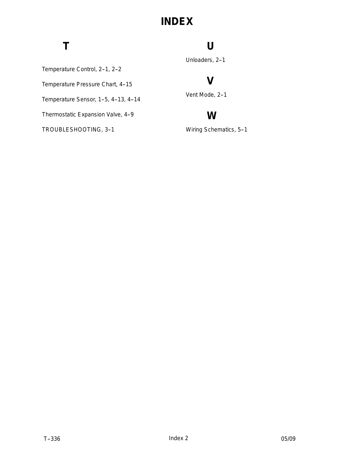# **INDEX**

# **T**

### **U**

Unloaders, 2-1

### **V**

Vent Mode, 2-1

### **W**

Wiring Schematics, 5-1

Temperature Control, 2-1, 2-2

Temperature Pressure Chart, 4-15

Temperature Sensor, 1-5, 4-13, 4-14

Thermostatic Expansion Valve, 4-9

TROUBLESHOOTING, 3--1